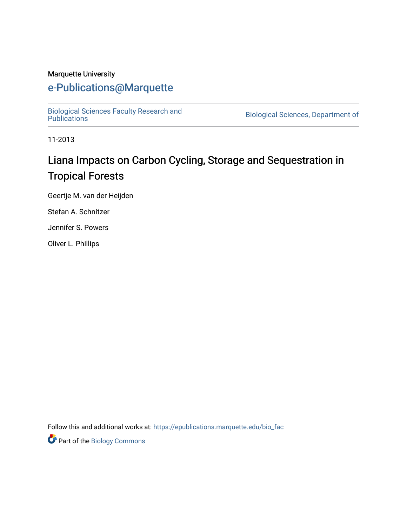#### Marquette University

## [e-Publications@Marquette](https://epublications.marquette.edu/)

[Biological Sciences Faculty Research and](https://epublications.marquette.edu/bio_fac) 

Biological Sciences, Department of

11-2013

# Liana Impacts on Carbon Cycling, Storage and Sequestration in Tropical Forests

Geertje M. van der Heijden

Stefan A. Schnitzer

Jennifer S. Powers

Oliver L. Phillips

Follow this and additional works at: [https://epublications.marquette.edu/bio\\_fac](https://epublications.marquette.edu/bio_fac?utm_source=epublications.marquette.edu%2Fbio_fac%2F730&utm_medium=PDF&utm_campaign=PDFCoverPages) 

**Part of the Biology Commons**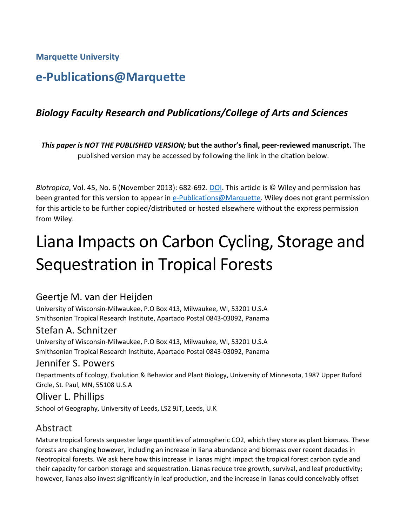**Marquette University**

## **e-Publications@Marquette**

## *Biology Faculty Research and Publications/College of Arts and Sciences*

*This paper is NOT THE PUBLISHED VERSION;* **but the author's final, peer-reviewed manuscript.** The published version may be accessed by following the link in the citation below.

*Biotropica*, Vol. 45, No. 6 (November 2013): 682-692. DOI. This article is © Wiley and permission has been granted for this version to appear in [e-Publications@Marquette.](http://epublications.marquette.edu/) Wiley does not grant permission for this article to be further copied/distributed or hosted elsewhere without the express permission from Wiley.

# Liana Impacts on Carbon Cycling, Storage and Sequestration in Tropical Forests

## Geertje M. van der Heijden

University of Wisconsin-Milwaukee, P.O Box 413, Milwaukee, WI, 53201 U.S.A Smithsonian Tropical Research Institute, Apartado Postal 0843-03092, Panama

## Stefan A. Schnitzer

University of Wisconsin-Milwaukee, P.O Box 413, Milwaukee, WI, 53201 U.S.A Smithsonian Tropical Research Institute, Apartado Postal 0843-03092, Panama

## Jennifer S. Powers

Departments of Ecology, Evolution & Behavior and Plant Biology, University of Minnesota, 1987 Upper Buford Circle, St. Paul, MN, 55108 U.S.A

## Oliver L. Phillips

School of Geography, University of Leeds, LS2 9JT, Leeds, U.K

## Abstract

Mature tropical forests sequester large quantities of atmospheric CO2, which they store as plant biomass. These forests are changing however, including an increase in liana abundance and biomass over recent decades in Neotropical forests. We ask here how this increase in lianas might impact the tropical forest carbon cycle and their capacity for carbon storage and sequestration. Lianas reduce tree growth, survival, and leaf productivity; however, lianas also invest significantly in leaf production, and the increase in lianas could conceivably offset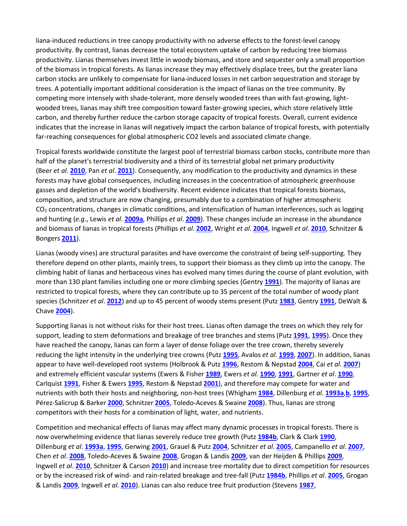liana-induced reductions in tree canopy productivity with no adverse effects to the forest-level canopy productivity. By contrast, lianas decrease the total ecosystem uptake of carbon by reducing tree biomass productivity. Lianas themselves invest little in woody biomass, and store and sequester only a small proportion of the biomass in tropical forests. As lianas increase they may effectively displace trees, but the greater liana carbon stocks are unlikely to compensate for liana-induced losses in net carbon sequestration and storage by trees. A potentially important additional consideration is the impact of lianas on the tree community. By competing more intensely with shade-tolerant, more densely wooded trees than with fast-growing, lightwooded trees, lianas may shift tree composition toward faster-growing species, which store relatively little carbon, and thereby further reduce the carbon storage capacity of tropical forests. Overall, current evidence indicates that the increase in lianas will negatively impact the carbon balance of tropical forests, with potentially far-reaching consequences for global atmospheric CO2 levels and associated climate change.

Tropical forests worldwide constitute the largest pool of terrestrial biomass carbon stocks, contribute more than half of the planet's terrestrial biodiversity and a third of its terrestrial global net primary productivity (Beer *et al*. **[2010](https://onlinelibrary.wiley.com/doi/full/10.1111/btp.12060#btp12060-bib-0007)**, Pan *et al*. **[2011](https://onlinelibrary.wiley.com/doi/full/10.1111/btp.12060#btp12060-bib-0076)**). Consequently, any modification to the productivity and dynamics in these forests may have global consequences, including increases in the concentration of atmospheric greenhouse gasses and depletion of the world's biodiversity. Recent evidence indicates that tropical forests biomass, composition, and structure are now changing, presumably due to a combination of higher atmospheric  $CO<sub>2</sub>$  concentrations, changes in climatic conditions, and intensification of human interferences, such as logging and hunting (*e.g*., Lewis *et al*. **[2009a](https://onlinelibrary.wiley.com/doi/full/10.1111/btp.12060#btp12060-bib-0065)**, Phillips *et al*. **[2009](https://onlinelibrary.wiley.com/doi/full/10.1111/btp.12060#btp12060-bib-0080)**). These changes include an increase in the abundance and biomass of lianas in tropical forests (Phillips *et al*. **[2002](https://onlinelibrary.wiley.com/doi/full/10.1111/btp.12060#btp12060-bib-0083)**, Wright *et al*. **[2004](https://onlinelibrary.wiley.com/doi/full/10.1111/btp.12060#btp12060-bib-0106)**, Ingwell *et al*. **[2010](https://onlinelibrary.wiley.com/doi/full/10.1111/btp.12060#btp12060-bib-0054)**, Schnitzer & Bongers **[2011](https://onlinelibrary.wiley.com/doi/full/10.1111/btp.12060#btp12060-bib-0095)**).

Lianas (woody vines) are structural parasites and have overcome the constraint of being self-supporting. They therefore depend on other plants, mainly trees, to support their biomass as they climb up into the canopy. The climbing habit of lianas and herbaceous vines has evolved many times during the course of plant evolution, with more than 130 plant families including one or more climbing species (Gentry **[1991](https://onlinelibrary.wiley.com/doi/full/10.1111/btp.12060#btp12060-bib-0039)**). The majority of lianas are restricted to tropical forests, where they can contribute up to 35 percent of the total number of woody plant species (Schnitzer *et al*. **[2012](https://onlinelibrary.wiley.com/doi/full/10.1111/btp.12060#btp12060-bib-0099)**) and up to 45 percent of woody stems present (Putz **[1983](https://onlinelibrary.wiley.com/doi/full/10.1111/btp.12060#btp12060-bib-0086)**, Gentry **[1991](https://onlinelibrary.wiley.com/doi/full/10.1111/btp.12060#btp12060-bib-0039)**, DeWalt & Chave **[2004](https://onlinelibrary.wiley.com/doi/full/10.1111/btp.12060#btp12060-bib-0025)**).

Supporting lianas is not without risks for their host trees. Lianas often damage the trees on which they rely for support, leading to stem deformations and breakage of tree branches and stems (Putz **[1991](https://onlinelibrary.wiley.com/doi/full/10.1111/btp.12060#btp12060-bib-0089)**, **[1995](https://onlinelibrary.wiley.com/doi/full/10.1111/btp.12060#btp12060-bib-0090)**). Once they have reached the canopy, lianas can form a layer of dense foliage over the tree crown, thereby severely reducing the light intensity in the underlying tree crowns (Putz **[1995](https://onlinelibrary.wiley.com/doi/full/10.1111/btp.12060#btp12060-bib-0090)**, Avalos *et al*. **[1999](https://onlinelibrary.wiley.com/doi/full/10.1111/btp.12060#btp12060-bib-0004)**, **[2007](https://onlinelibrary.wiley.com/doi/full/10.1111/btp.12060#btp12060-bib-0005)**). In addition, lianas appear to have well-developed root systems (Holbrook & Putz **[1996](https://onlinelibrary.wiley.com/doi/full/10.1111/btp.12060#btp12060-bib-0053)**, Restom & Nepstad **[2004](https://onlinelibrary.wiley.com/doi/full/10.1111/btp.12060#btp12060-bib-0092)**, Cai *et al*. **[2007](https://onlinelibrary.wiley.com/doi/full/10.1111/btp.12060#btp12060-bib-0011)**) and extremely efficient vascular systems (Ewers & Fisher **[1989](https://onlinelibrary.wiley.com/doi/full/10.1111/btp.12060#btp12060-bib-0031)**, Ewers *et al*. **[1990](https://onlinelibrary.wiley.com/doi/full/10.1111/btp.12060#btp12060-bib-0032)**, **[1991](https://onlinelibrary.wiley.com/doi/full/10.1111/btp.12060#btp12060-bib-0033)**, Gartner *et al*. **[1990](https://onlinelibrary.wiley.com/doi/full/10.1111/btp.12060#btp12060-bib-0037)**, Carlquist **[1991](https://onlinelibrary.wiley.com/doi/full/10.1111/btp.12060#btp12060-bib-0015)**, Fisher & Ewers **[1995](https://onlinelibrary.wiley.com/doi/full/10.1111/btp.12060#btp12060-bib-0035)**, Restom & Nepstad **[2001](https://onlinelibrary.wiley.com/doi/full/10.1111/btp.12060#btp12060-bib-0091)**), and therefore may compete for water and nutrients with both their hosts and neighboring, non-host trees (Whigham **[1984](https://onlinelibrary.wiley.com/doi/full/10.1111/btp.12060#btp12060-bib-0104)**, Dillenburg *et al*. **[1993a](https://onlinelibrary.wiley.com/doi/full/10.1111/btp.12060#btp12060-bib-0028)**,**[b](https://onlinelibrary.wiley.com/doi/full/10.1111/btp.12060#btp12060-bib-0029)**, **[1995](https://onlinelibrary.wiley.com/doi/full/10.1111/btp.12060#btp12060-bib-0027)**, Pérez-Salicrup & Barker **[2000](https://onlinelibrary.wiley.com/doi/full/10.1111/btp.12060#btp12060-bib-0077)**, Schnitzer **[2005](https://onlinelibrary.wiley.com/doi/full/10.1111/btp.12060#btp12060-bib-0094)**, Toledo-Aceves & Swaine **[2008](https://onlinelibrary.wiley.com/doi/full/10.1111/btp.12060#btp12060-bib-0103)**). Thus, lianas are strong competitors with their hosts for a combination of light, water, and nutrients.

Competition and mechanical effects of lianas may affect many dynamic processes in tropical forests. There is now overwhelming evidence that lianas severely reduce tree growth (Putz **[1984b](https://onlinelibrary.wiley.com/doi/full/10.1111/btp.12060#btp12060-bib-0088)**, Clark & Clark **[1990](https://onlinelibrary.wiley.com/doi/full/10.1111/btp.12060#btp12060-bib-0021)**, Dillenburg *et al*. **[1993a](https://onlinelibrary.wiley.com/doi/full/10.1111/btp.12060#btp12060-bib-0028)**, **[1995](https://onlinelibrary.wiley.com/doi/full/10.1111/btp.12060#btp12060-bib-0027)**, Gerwing **[2001](https://onlinelibrary.wiley.com/doi/full/10.1111/btp.12060#btp12060-bib-0040)**, Grauel & Putz **[2004](https://onlinelibrary.wiley.com/doi/full/10.1111/btp.12060#btp12060-bib-0045)**, Schnitzer *et al*. **[2005](https://onlinelibrary.wiley.com/doi/full/10.1111/btp.12060#btp12060-bib-0098)**, Campanello *et al*. **[2007](https://onlinelibrary.wiley.com/doi/full/10.1111/btp.12060#btp12060-bib-0012)**, Chen *et al*. **[2008](https://onlinelibrary.wiley.com/doi/full/10.1111/btp.12060#btp12060-bib-0019)**, Toledo-Aceves & Swaine **[2008](https://onlinelibrary.wiley.com/doi/full/10.1111/btp.12060#btp12060-bib-0103)**, Grogan & Landis **[2009](https://onlinelibrary.wiley.com/doi/full/10.1111/btp.12060#btp12060-bib-0046)**, van der Heijden & Phillips **[2009](https://onlinelibrary.wiley.com/doi/full/10.1111/btp.12060#btp12060-bib-0051)**, Ingwell *et al*. **[2010](https://onlinelibrary.wiley.com/doi/full/10.1111/btp.12060#btp12060-bib-0054)**, Schnitzer & Carson **[2010](https://onlinelibrary.wiley.com/doi/full/10.1111/btp.12060#btp12060-bib-0096)**) and increase tree mortality due to direct competition for resources or by the increased risk of wind- and rain-related breakage and tree-fall (Putz **[1984b](https://onlinelibrary.wiley.com/doi/full/10.1111/btp.12060#btp12060-bib-0088)**, Phillips *et al*. **[2005](https://onlinelibrary.wiley.com/doi/full/10.1111/btp.12060#btp12060-bib-0084)**, Grogan & Landis **[2009](https://onlinelibrary.wiley.com/doi/full/10.1111/btp.12060#btp12060-bib-0046)**, Ingwell *et al*. **[2010](https://onlinelibrary.wiley.com/doi/full/10.1111/btp.12060#btp12060-bib-0054)**). Lianas can also reduce tree fruit production (Stevens **[1987](https://onlinelibrary.wiley.com/doi/full/10.1111/btp.12060#btp12060-bib-0101)**,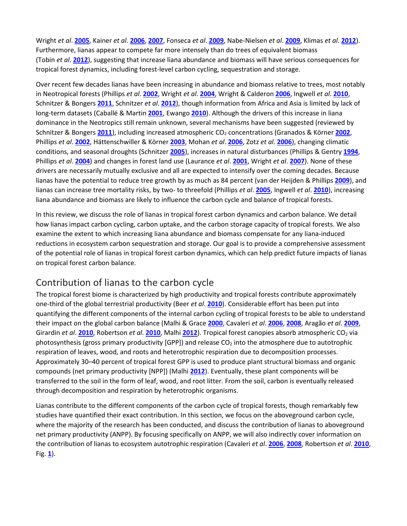Wright et al. [2005](https://onlinelibrary.wiley.com/doi/full/10.1111/btp.12060#btp12060-bib-0108), Kainer et al. [2006](https://onlinelibrary.wiley.com/doi/full/10.1111/btp.12060#btp12060-bib-0056), [2007](https://onlinelibrary.wiley.com/doi/full/10.1111/btp.12060#btp12060-bib-0057), Fonseca et al. [2009](https://onlinelibrary.wiley.com/doi/full/10.1111/btp.12060#btp12060-bib-0073), Nabe-Nielsen et al. 2009, Klimas et al. [2012](https://onlinelibrary.wiley.com/doi/full/10.1111/btp.12060#btp12060-bib-0060)). Furthermore, lianas appear to compete far more intensely than do trees of equivalent biomass (Tobin *et al*. **[2012](https://onlinelibrary.wiley.com/doi/full/10.1111/btp.12060#btp12060-bib-0102)**), suggesting that increase liana abundance and biomass will have serious consequences for tropical forest dynamics, including forest-level carbon cycling, sequestration and storage.

Over recent few decades lianas have been increasing in abundance and biomass relative to trees, most notably in Neotropical forests (Phillips *et al*. **[2002](https://onlinelibrary.wiley.com/doi/full/10.1111/btp.12060#btp12060-bib-0083)**, Wright *et al*. **[2004](https://onlinelibrary.wiley.com/doi/full/10.1111/btp.12060#btp12060-bib-0106)**, Wright & Calderon **[2006](https://onlinelibrary.wiley.com/doi/full/10.1111/btp.12060#btp12060-bib-0105)**, Ingwell *et al*. **[2010](https://onlinelibrary.wiley.com/doi/full/10.1111/btp.12060#btp12060-bib-0054)**, Schnitzer & Bongers **[2011](https://onlinelibrary.wiley.com/doi/full/10.1111/btp.12060#btp12060-bib-0095)**, Schnitzer *et al*. **[2012](https://onlinelibrary.wiley.com/doi/full/10.1111/btp.12060#btp12060-bib-0099)**), though information from Africa and Asia is limited by lack of long-term datasets (Caballé & Martin **[2001](https://onlinelibrary.wiley.com/doi/full/10.1111/btp.12060#btp12060-bib-0010)**, Ewango **[2010](https://onlinelibrary.wiley.com/doi/full/10.1111/btp.12060#btp12060-bib-0030)**). Although the drivers of this increase in liana dominance in the Neotropics still remain unknown, several mechanisms have been suggested (reviewed by Schnitzer & Bongers [2011](https://onlinelibrary.wiley.com/doi/full/10.1111/btp.12060#btp12060-bib-0095)), including increased atmospheric CO<sub>2</sub> concentrations (Granados & Körner [2002](https://onlinelibrary.wiley.com/doi/full/10.1111/btp.12060#btp12060-bib-0044), Phillips *et al*. **[2002](https://onlinelibrary.wiley.com/doi/full/10.1111/btp.12060#btp12060-bib-0083)**, Hättenschwiller & Körner **[2003](https://onlinelibrary.wiley.com/doi/full/10.1111/btp.12060#btp12060-bib-0047)**, Mohan *et al*. **[2006](https://onlinelibrary.wiley.com/doi/full/10.1111/btp.12060#btp12060-bib-0072)**, Zotz *et al*. **[2006](https://onlinelibrary.wiley.com/doi/full/10.1111/btp.12060#btp12060-bib-0109)**), changing climatic conditions, and seasonal droughts (Schnitzer **[2005](https://onlinelibrary.wiley.com/doi/full/10.1111/btp.12060#btp12060-bib-0094)**), increases in natural disturbances (Phillips & Gentry **[1994](https://onlinelibrary.wiley.com/doi/full/10.1111/btp.12060#btp12060-bib-0082)**, Phillips *et al*. **[2004](https://onlinelibrary.wiley.com/doi/full/10.1111/btp.12060#btp12060-bib-0081)**) and changes in forest land use (Laurance *et al*. **[2001](https://onlinelibrary.wiley.com/doi/full/10.1111/btp.12060#btp12060-bib-0064)**, Wright *et al*. **[2007](https://onlinelibrary.wiley.com/doi/full/10.1111/btp.12060#btp12060-bib-0107)**). None of these drivers are necessarily mutually exclusive and all are expected to intensify over the coming decades. Because lianas have the potential to reduce tree growth by as much as 84 percent (van der Heijden & Phillips **[2009](https://onlinelibrary.wiley.com/doi/full/10.1111/btp.12060#btp12060-bib-0051)**), and lianas can increase tree mortality risks, by two- to threefold (Phillips *et al*. **[2005](https://onlinelibrary.wiley.com/doi/full/10.1111/btp.12060#btp12060-bib-0084)**, Ingwell *et al*. **[2010](https://onlinelibrary.wiley.com/doi/full/10.1111/btp.12060#btp12060-bib-0054)**), increasing liana abundance and biomass are likely to influence the carbon cycle and balance of tropical forests.

In this review, we discuss the role of lianas in tropical forest carbon dynamics and carbon balance. We detail how lianas impact carbon cycling, carbon uptake, and the carbon storage capacity of tropical forests. We also examine the extent to which increasing liana abundance and biomass compensate for any liana-induced reductions in ecosystem carbon sequestration and storage. Our goal is to provide a comprehensive assessment of the potential role of lianas in tropical forest carbon dynamics, which can help predict future impacts of lianas on tropical forest carbon balance.

## [Contribution of lianas to the carbon cycle](https://0-web-b-ebscohost-com.libus.csd.mu.edu/ehost/detail/detail?vid=2&sid=b1949c48-aad0-4aab-ba40-bfb85a015f5d%40pdc-v-sessmgr02&bdata=JnNpdGU9ZWhvc3QtbGl2ZQ%3d%3d#toc)

The tropical forest biome is characterized by high productivity and tropical forests contribute approximately one-third of the global terrestrial productivity (Beer *et al*. **[2010](https://onlinelibrary.wiley.com/doi/full/10.1111/btp.12060#btp12060-bib-0007)**). Considerable effort has been put into quantifying the different components of the internal carbon cycling of tropical forests to be able to understand their impact on the global carbon balance (Malhi & Grace **[2000](https://onlinelibrary.wiley.com/doi/full/10.1111/btp.12060#btp12060-bib-0070)**, Cavaleri *et al*. **[2006](https://onlinelibrary.wiley.com/doi/full/10.1111/btp.12060#btp12060-bib-0016)**, **[2008](https://onlinelibrary.wiley.com/doi/full/10.1111/btp.12060#btp12060-bib-0017)**, Aragão *et al*. **[2009](https://onlinelibrary.wiley.com/doi/full/10.1111/btp.12060#btp12060-bib-0002)**, Girardin *et al*. **[2010](https://onlinelibrary.wiley.com/doi/full/10.1111/btp.12060#btp12060-bib-0043)**, Robertson *et al*. **[2010](https://onlinelibrary.wiley.com/doi/full/10.1111/btp.12060#btp12060-bib-0093)**, Malhi **[2012](https://onlinelibrary.wiley.com/doi/full/10.1111/btp.12060#btp12060-bib-0069)**). Tropical forest canopies absorb atmospheric CO2 via photosynthesis (gross primary productivity [GPP]) and release  $CO<sub>2</sub>$  into the atmosphere due to autotrophic respiration of leaves, wood, and roots and heterotrophic respiration due to decomposition processes. Approximately 30–40 percent of tropical forest GPP is used to produce plant structural biomass and organic compounds (net primary productivity [NPP]) (Malhi **[2012](https://onlinelibrary.wiley.com/doi/full/10.1111/btp.12060#btp12060-bib-0069)**). Eventually, these plant components will be transferred to the soil in the form of leaf, wood, and root litter. From the soil, carbon is eventually released through decomposition and respiration by heterotrophic organisms.

Lianas contribute to the different components of the carbon cycle of tropical forests, though remarkably few studies have quantified their exact contribution. In this section, we focus on the aboveground carbon cycle, where the majority of the research has been conducted, and discuss the contribution of lianas to aboveground net primary productivity (ANPP). By focusing specifically on ANPP, we will also indirectly cover information on the contribution of lianas to ecosystem autotrophic respiration (Cavaleri *et al*. **[2006](https://onlinelibrary.wiley.com/doi/full/10.1111/btp.12060#btp12060-bib-0016)**, **[2008](https://onlinelibrary.wiley.com/doi/full/10.1111/btp.12060#btp12060-bib-0017)**, Robertson *et al*. **[2010](https://onlinelibrary.wiley.com/doi/full/10.1111/btp.12060#btp12060-bib-0093)**, Fig. **[1](https://onlinelibrary.wiley.com/doi/full/10.1111/btp.12060#btp12060-fig-0001)**).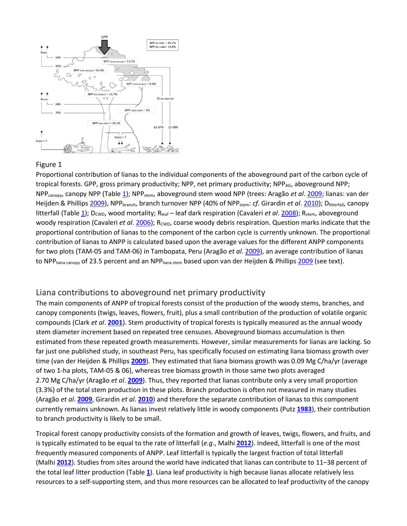

#### Figure 1

Proportional contribution of lianas to the individual components of the aboveground part of the carbon cycle of tropical forests. GPP, gross primary productivity; NPP, net primary productivity; NPPAG, aboveground NPP; NPPcanopy, canopy NPP (Table [1\)](https://onlinelibrary.wiley.com/doi/full/10.1111/btp.12060#btp12060-tbl-0001); NPPstem, aboveground stem wood NPP (trees: Aragão *et al*. [2009;](https://onlinelibrary.wiley.com/doi/full/10.1111/btp.12060#btp12060-bib-0002) lianas: van der Heijden & Phillips [2009\)](https://onlinelibrary.wiley.com/doi/full/10.1111/btp.12060#btp12060-bib-0051), NPP<sub>branch</sub>, branch turnover NPP (40% of NPP<sub>stem</sub>: *cf*. Girardin *et al.* [2010\)](https://onlinelibrary.wiley.com/doi/full/10.1111/btp.12060#btp12060-bib-0043); D<sub>litterfall, canopy</sub> litterfall (Table [1\)](https://onlinelibrary.wiley.com/doi/full/10.1111/btp.12060#btp12060-tbl-0001); D<sub>CWD</sub>, wood mortality; R<sub>leaf</sub> – leaf dark respiration (Cavaleri *et al.* [2008\)](https://onlinelibrary.wiley.com/doi/full/10.1111/btp.12060#btp12060-bib-0017); R<sub>stem</sub>, aboveground woody respiration (Cavaleri *et al.* [2006\)](https://onlinelibrary.wiley.com/doi/full/10.1111/btp.12060#btp12060-bib-0016); R<sub>CWD</sub>, coarse woody debris respiration. Question marks indicate that the proportional contribution of lianas to the component of the carbon cycle is currently unknown. The proportional contribution of lianas to ANPP is calculated based upon the average values for the different ANPP components for two plots (TAM-05 and TAM-06) in Tambopata, Peru (Aragão *et al*. [2009\)](https://onlinelibrary.wiley.com/doi/full/10.1111/btp.12060#btp12060-bib-0002), an average contribution of lianas to NPP<sub>liana canopy</sub> of 23.5 percent and an NPP<sub>liana stem</sub> based upon van der Heijden & Phillips [2009](https://onlinelibrary.wiley.com/doi/full/10.1111/btp.12060#btp12060-bib-0051) (see text).

#### [Liana contributions to aboveground net primary productivity](https://0-web-b-ebscohost-com.libus.csd.mu.edu/ehost/detail/detail?vid=2&sid=b1949c48-aad0-4aab-ba40-bfb85a015f5d%40pdc-v-sessmgr02&bdata=JnNpdGU9ZWhvc3QtbGl2ZQ%3d%3d#toc)

The main components of ANPP of tropical forests consist of the production of the woody stems, branches, and canopy components (twigs, leaves, flowers, fruit), plus a small contribution of the production of volatile organic compounds (Clark *et al*. **[2001](https://onlinelibrary.wiley.com/doi/full/10.1111/btp.12060#btp12060-bib-0020)**). Stem productivity of tropical forests is typically measured as the annual woody stem diameter increment based on repeated tree censuses. Aboveground biomass accumulation is then estimated from these repeated growth measurements. However, similar measurements for lianas are lacking. So far just one published study, in southeast Peru, has specifically focused on estimating liana biomass growth over time (van der Heijden & Phillips **[2009](https://onlinelibrary.wiley.com/doi/full/10.1111/btp.12060#btp12060-bib-0051)**). They estimated that liana biomass growth was 0.09 Mg C/ha/yr (average of two 1-ha plots, TAM-05 & 06), whereas tree biomass growth in those same two plots averaged 2.70 Mg C/ha/yr (Aragão *et al*. **[2009](https://onlinelibrary.wiley.com/doi/full/10.1111/btp.12060#btp12060-bib-0002)**). Thus, they reported that lianas contribute only a very small proportion (3.3%) of the total stem production in these plots. Branch production is often not measured in many studies (Aragão *et al*. **[2009](https://onlinelibrary.wiley.com/doi/full/10.1111/btp.12060#btp12060-bib-0002)**, Girardin *et al*. **[2010](https://onlinelibrary.wiley.com/doi/full/10.1111/btp.12060#btp12060-bib-0043)**) and therefore the separate contribution of lianas to this component currently remains unknown. As lianas invest relatively little in woody components (Putz **[1983](https://onlinelibrary.wiley.com/doi/full/10.1111/btp.12060#btp12060-bib-0086)**), their contribution to branch productivity is likely to be small.

Tropical forest canopy productivity consists of the formation and growth of leaves, twigs, flowers, and fruits, and is typically estimated to be equal to the rate of litterfall (*e.g*., Malhi **[2012](https://onlinelibrary.wiley.com/doi/full/10.1111/btp.12060#btp12060-bib-0069)**). Indeed, litterfall is one of the most frequently measured components of ANPP. Leaf litterfall is typically the largest fraction of total litterfall (Malhi **[2012](https://onlinelibrary.wiley.com/doi/full/10.1111/btp.12060#btp12060-bib-0069)**). Studies from sites around the world have indicated that lianas can contribute to 11–38 percent of the total leaf litter production (Table **[1](https://onlinelibrary.wiley.com/doi/full/10.1111/btp.12060#btp12060-tbl-0001)**). Liana leaf productivity is high because lianas allocate relatively less resources to a self-supporting stem, and thus more resources can be allocated to leaf productivity of the canopy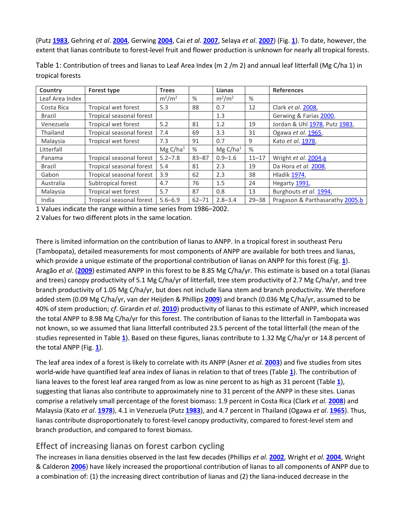(Putz **[1983](https://onlinelibrary.wiley.com/doi/full/10.1111/btp.12060#btp12060-bib-0086)**, Gehring *et al*. **[2004](https://onlinelibrary.wiley.com/doi/full/10.1111/btp.12060#btp12060-bib-0038)**, Gerwing **[2004](https://onlinelibrary.wiley.com/doi/full/10.1111/btp.12060#btp12060-bib-0041)**, Cai *et al*. **[2007](https://onlinelibrary.wiley.com/doi/full/10.1111/btp.12060#btp12060-bib-0011)**, Selaya *et al*. **[2007](https://onlinelibrary.wiley.com/doi/full/10.1111/btp.12060#btp12060-bib-0100)**) (Fig. **[1](https://onlinelibrary.wiley.com/doi/full/10.1111/btp.12060#btp12060-fig-0001)**). To date, however, the extent that lianas contribute to forest-level fruit and flower production is unknown for nearly all tropical forests.

| <b>Country</b>  | <b>Forest type</b>       | <b>Trees</b>         |           | Lianas               |           | <b>References</b>               |
|-----------------|--------------------------|----------------------|-----------|----------------------|-----------|---------------------------------|
| Leaf Area Index |                          | $m^2/m^2$            | %         | $m^2/m^2$            | %         |                                 |
| Costa Rica      | Tropical wet forest      | 5.3                  | 88        | 0.7                  | 12        | Clark et al. 2008,              |
| <b>Brazil</b>   | Tropical seasonal forest |                      |           | 1.3                  |           | Gerwing & Farias 2000,          |
| Venezuela       | Tropical wet forest      | 5.2                  | 81        | 1.2                  | 19        | Jordan & Uhl 1978, Putz 1983,   |
| Thailand        | Tropical seasonal forest | 7.4                  | 69        | 3.3                  | 31        | Ogawa et al. 1965,              |
| Malaysia        | Tropical wet forest      | 7.3                  | 91        | 0.7                  | 9         | Kato et al. 1978,               |
| Litterfall      |                          | Mg C/ha <sup>1</sup> | %         | Mg C/ha <sup>1</sup> | $\%$      |                                 |
| Panama          | Tropical seasonal forest | $5.2 - 7.8$          | $83 - 87$ | $0.9 - 1.6$          | $11 - 17$ | Wright et al. 2004,a            |
| <b>Brazil</b>   | Tropical seasonal forest | 5.4                  | 81        | 2.3                  | 19        | Da Hora et al. 2008,            |
| Gabon           | Tropical seasonal forest | 3.9                  | 62        | 2.3                  | 38        | Hladik 1974,                    |
| Australia       | Subtropical forest       | 4.7                  | 76        | 1.5                  | 24        | Hegarty 1991,                   |
| Malaysia        | Tropical wet forest      | 5.7                  | 87        | 0.8                  | 13        | Burghouts et al. 1994,          |
| India           | Tropical seasonal forest | $5.6 - 6.9$          | $62 - 71$ | $2.8 - 3.4$          | $29 - 38$ | Pragason & Parthasarathy 2005,b |

Table 1: Contribution of trees and lianas to Leaf Area Index (m 2 /m 2) and annual leaf litterfall (Mg C/ha 1) in tropical forests

1 Values indicate the range within a time series from 1986–2002.

2 Values for two different plots in the same location.

There is limited information on the contribution of lianas to ANPP. In a tropical forest in southeast Peru (Tambopata), detailed measurements for most components of ANPP are available for both trees and lianas, which provide a unique estimate of the proportional contribution of lianas on ANPP for this forest (Fig. **[1](https://onlinelibrary.wiley.com/doi/full/10.1111/btp.12060#btp12060-fig-0001)**). Aragão *et al*. (**[2009](https://onlinelibrary.wiley.com/doi/full/10.1111/btp.12060#btp12060-bib-0002)**) estimated ANPP in this forest to be 8.85 Mg C/ha/yr. This estimate is based on a total (lianas and trees) canopy productivity of 5.1 Mg C/ha/yr of litterfall, tree stem productivity of 2.7 Mg C/ha/yr, and tree branch productivity of 1.05 Mg C/ha/yr, but does not include liana stem and branch productivity. We therefore added stem (0.09 Mg C/ha/yr, van der Heijden & Phillips **[2009](https://onlinelibrary.wiley.com/doi/full/10.1111/btp.12060#btp12060-bib-0051)**) and branch (0.036 Mg C/ha/yr, assumed to be 40% of stem production; *cf*. Girardin *et al*. **[2010](https://onlinelibrary.wiley.com/doi/full/10.1111/btp.12060#btp12060-bib-0043)**) productivity of lianas to this estimate of ANPP, which increased the total ANPP to 8.98 Mg C/ha/yr for this forest. The contribution of lianas to the litterfall in Tambopata was not known, so we assumed that liana litterfall contributed 23.5 percent of the total litterfall (the mean of the studies represented in Table **[1](https://onlinelibrary.wiley.com/doi/full/10.1111/btp.12060#btp12060-tbl-0001)**). Based on these figures, lianas contribute to 1.32 Mg C/ha/yr or 14.8 percent of the total ANPP (Fig. [1](https://onlinelibrary.wiley.com/doi/full/10.1111/btp.12060#btp12060-fig-0001)).

The leaf area index of a forest is likely to correlate with its ANPP (Asner *et al*. **[2003](https://onlinelibrary.wiley.com/doi/full/10.1111/btp.12060#btp12060-bib-0003)**) and five studies from sites world-wide have quantified leaf area index of lianas in relation to that of trees (Table **[1](https://onlinelibrary.wiley.com/doi/full/10.1111/btp.12060#btp12060-tbl-0001)**). The contribution of liana leaves to the forest leaf area ranged from as low as nine percent to as high as 31 percent (Table **[1](https://onlinelibrary.wiley.com/doi/full/10.1111/btp.12060#btp12060-tbl-0001)**), suggesting that lianas also contribute to approximately nine to 31 percent of the ANPP in these sites. Lianas comprise a relatively small percentage of the forest biomass: 1.9 percent in Costa Rica (Clark *et al*. **[2008](https://onlinelibrary.wiley.com/doi/full/10.1111/btp.12060#btp12060-bib-0022)**) and Malaysia (Kato *et al*. **[1978](https://onlinelibrary.wiley.com/doi/full/10.1111/btp.12060#btp12060-bib-0058)**), 4.1 in Venezuela (Putz **[1983](https://onlinelibrary.wiley.com/doi/full/10.1111/btp.12060#btp12060-bib-0086)**), and 4.7 percent in Thailand (Ogawa *et al*. **[1965](https://onlinelibrary.wiley.com/doi/full/10.1111/btp.12060#btp12060-bib-0075)**). Thus, lianas contribute disproportionately to forest-level canopy productivity, compared to forest-level stem and branch production, and compared to forest biomass.

#### Effect [of increasing lianas on forest carbon cycling](https://0-web-b-ebscohost-com.libus.csd.mu.edu/ehost/detail/detail?vid=2&sid=b1949c48-aad0-4aab-ba40-bfb85a015f5d%40pdc-v-sessmgr02&bdata=JnNpdGU9ZWhvc3QtbGl2ZQ%3d%3d#toc)

The increases in liana densities observed in the last few decades (Phillips *et al*. **[2002](https://onlinelibrary.wiley.com/doi/full/10.1111/btp.12060#btp12060-bib-0083)**, Wright *et al*. **[2004](https://onlinelibrary.wiley.com/doi/full/10.1111/btp.12060#btp12060-bib-0106)**, Wright & Calderon **[2006](https://onlinelibrary.wiley.com/doi/full/10.1111/btp.12060#btp12060-bib-0105)**) have likely increased the proportional contribution of lianas to all components of ANPP due to a combination of: (1) the increasing direct contribution of lianas and (2) the liana-induced decrease in the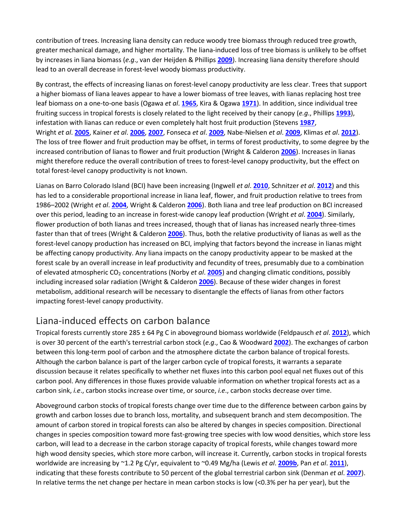contribution of trees. Increasing liana density can reduce woody tree biomass through reduced tree growth, greater mechanical damage, and higher mortality. The liana-induced loss of tree biomass is unlikely to be offset by increases in liana biomass (*e.g*., van der Heijden & Phillips **[2009](https://onlinelibrary.wiley.com/doi/full/10.1111/btp.12060#btp12060-bib-0051)**). Increasing liana density therefore should lead to an overall decrease in forest-level woody biomass productivity.

By contrast, the effects of increasing lianas on forest-level canopy productivity are less clear. Trees that support a higher biomass of liana leaves appear to have a lower biomass of tree leaves, with lianas replacing host tree leaf biomass on a one-to-one basis (Ogawa *et al*. **[1965](https://onlinelibrary.wiley.com/doi/full/10.1111/btp.12060#btp12060-bib-0075)**, Kira & Ogawa **[1971](https://onlinelibrary.wiley.com/doi/full/10.1111/btp.12060#btp12060-bib-0059)**). In addition, since individual tree fruiting success in tropical forests is closely related to the light received by their canopy (*e.g*., Phillips **[1993](https://onlinelibrary.wiley.com/doi/full/10.1111/btp.12060#btp12060-bib-0079)**), infestation with lianas can reduce or even completely halt host fruit production (Stevens **[1987](https://onlinelibrary.wiley.com/doi/full/10.1111/btp.12060#btp12060-bib-0101)**, Wright et al. [2005](https://onlinelibrary.wiley.com/doi/full/10.1111/btp.12060#btp12060-bib-0108), Kainer et al. [2006](https://onlinelibrary.wiley.com/doi/full/10.1111/btp.12060#btp12060-bib-0056), [2007](https://onlinelibrary.wiley.com/doi/full/10.1111/btp.12060#btp12060-bib-0057), Fonseca et al. [2009](https://onlinelibrary.wiley.com/doi/full/10.1111/btp.12060#btp12060-bib-0073), Nabe-Nielsen et al. 2009, Klimas et al. [2012](https://onlinelibrary.wiley.com/doi/full/10.1111/btp.12060#btp12060-bib-0060)). The loss of tree flower and fruit production may be offset, in terms of forest productivity, to some degree by the increased contribution of lianas to flower and fruit production (Wright & Calderon **[2006](https://onlinelibrary.wiley.com/doi/full/10.1111/btp.12060#btp12060-bib-0105)**). Increases in lianas might therefore reduce the overall contribution of trees to forest-level canopy productivity, but the effect on total forest-level canopy productivity is not known.

Lianas on Barro Colorado Island (BCI) have been increasing (Ingwell *et al*. **[2010](https://onlinelibrary.wiley.com/doi/full/10.1111/btp.12060#btp12060-bib-0054)**, Schnitzer *et al*. **[2012](https://onlinelibrary.wiley.com/doi/full/10.1111/btp.12060#btp12060-bib-0099)**) and this has led to a considerable proportional increase in liana leaf, flower, and fruit production relative to trees from 1986–2002 (Wright *et al*. **[2004](https://onlinelibrary.wiley.com/doi/full/10.1111/btp.12060#btp12060-bib-0106)**, Wright & Calderon **[2006](https://onlinelibrary.wiley.com/doi/full/10.1111/btp.12060#btp12060-bib-0105)**). Both liana and tree leaf production on BCI increased over this period, leading to an increase in forest-wide canopy leaf production (Wright *et al*. **[2004](https://onlinelibrary.wiley.com/doi/full/10.1111/btp.12060#btp12060-bib-0106)**). Similarly, flower production of both lianas and trees increased, though that of lianas has increased nearly three-times faster than that of trees (Wright & Calderon **[2006](https://onlinelibrary.wiley.com/doi/full/10.1111/btp.12060#btp12060-bib-0105)**). Thus, both the relative productivity of lianas as well as the forest-level canopy production has increased on BCI, implying that factors beyond the increase in lianas might be affecting canopy productivity. Any liana impacts on the canopy productivity appear to be masked at the forest scale by an overall increase in leaf productivity and fecundity of trees, presumably due to a combination of elevated atmospheric CO2 concentrations (Norby *et al*. **[2005](https://onlinelibrary.wiley.com/doi/full/10.1111/btp.12060#btp12060-bib-0074)**) and changing climatic conditions, possibly including increased solar radiation (Wright & Calderon **[2006](https://onlinelibrary.wiley.com/doi/full/10.1111/btp.12060#btp12060-bib-0105)**). Because of these wider changes in forest metabolism, additional research will be necessary to disentangle the effects of lianas from other factors impacting forest-level canopy productivity.

## [Liana-induced effects on carbon balance](https://0-web-b-ebscohost-com.libus.csd.mu.edu/ehost/detail/detail?vid=2&sid=b1949c48-aad0-4aab-ba40-bfb85a015f5d%40pdc-v-sessmgr02&bdata=JnNpdGU9ZWhvc3QtbGl2ZQ%3d%3d#toc)

Tropical forests currently store 285 ± 64 Pg C in aboveground biomass worldwide (Feldpausch *et al*. **[2012](https://onlinelibrary.wiley.com/doi/full/10.1111/btp.12060#btp12060-bib-0034)**), which is over 30 percent of the earth's terrestrial carbon stock (*e.g*., Cao & Woodward **[2002](https://onlinelibrary.wiley.com/doi/full/10.1111/btp.12060#btp12060-bib-0014)**). The exchanges of carbon between this long-term pool of carbon and the atmosphere dictate the carbon balance of tropical forests. Although the carbon balance is part of the larger carbon cycle of tropical forests, it warrants a separate discussion because it relates specifically to whether net fluxes into this carbon pool equal net fluxes out of this carbon pool. Any differences in those fluxes provide valuable information on whether tropical forests act as a carbon sink, *i.e*., carbon stocks increase over time, or source, *i.e*., carbon stocks decrease over time.

Aboveground carbon stocks of tropical forests change over time due to the difference between carbon gains by growth and carbon losses due to branch loss, mortality, and subsequent branch and stem decomposition. The amount of carbon stored in tropical forests can also be altered by changes in species composition. Directional changes in species composition toward more fast-growing tree species with low wood densities, which store less carbon, will lead to a decrease in the carbon storage capacity of tropical forests, while changes toward more high wood density species, which store more carbon, will increase it. Currently, carbon stocks in tropical forests worldwide are increasing by ~1.2 Pg C/yr, equivalent to ~0.49 Mg/ha (Lewis *et al*. **[2009b](https://onlinelibrary.wiley.com/doi/full/10.1111/btp.12060#btp12060-bib-0066)**, Pan *et al*. **[2011](https://onlinelibrary.wiley.com/doi/full/10.1111/btp.12060#btp12060-bib-0076)**), indicating that these forests contribute to 50 percent of the global terrestrial carbon sink (Denman *et al*. **[2007](https://onlinelibrary.wiley.com/doi/full/10.1111/btp.12060#btp12060-bib-0024)**). In relative terms the net change per hectare in mean carbon stocks is low (<0.3% per ha per year), but the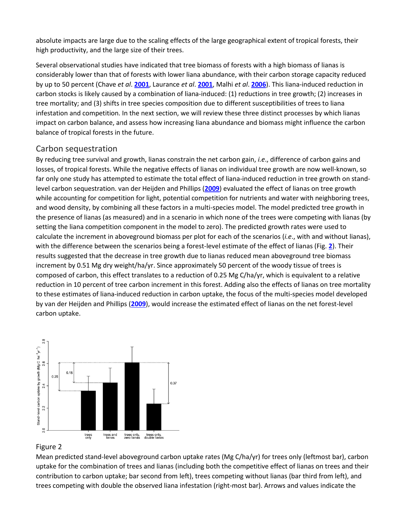absolute impacts are large due to the scaling effects of the large geographical extent of tropical forests, their high productivity, and the large size of their trees.

Several observational studies have indicated that tree biomass of forests with a high biomass of lianas is considerably lower than that of forests with lower liana abundance, with their carbon storage capacity reduced by up to 50 percent (Chave *et al*. **[2001](https://onlinelibrary.wiley.com/doi/full/10.1111/btp.12060#btp12060-bib-0018)**, Laurance *et al*. **[2001](https://onlinelibrary.wiley.com/doi/full/10.1111/btp.12060#btp12060-bib-0064)**, Malhi *et al*. **[2006](https://onlinelibrary.wiley.com/doi/full/10.1111/btp.12060#btp12060-bib-0071)**). This liana-induced reduction in carbon stocks is likely caused by a combination of liana-induced: (1) reductions in tree growth; (2) increases in tree mortality; and (3) shifts in tree species composition due to different susceptibilities of trees to liana infestation and competition. In the next section, we will review these three distinct processes by which lianas impact on carbon balance, and assess how increasing liana abundance and biomass might influence the carbon balance of tropical forests in the future.

#### [Carbon sequestration](https://0-web-b-ebscohost-com.libus.csd.mu.edu/ehost/detail/detail?vid=2&sid=b1949c48-aad0-4aab-ba40-bfb85a015f5d%40pdc-v-sessmgr02&bdata=JnNpdGU9ZWhvc3QtbGl2ZQ%3d%3d#toc)

By reducing tree survival and growth, lianas constrain the net carbon gain, *i.e*., difference of carbon gains and losses, of tropical forests. While the negative effects of lianas on individual tree growth are now well-known, so far only one study has attempted to estimate the total effect of liana-induced reduction in tree growth on standlevel carbon sequestration. van der Heijden and Phillips (**[2009](https://onlinelibrary.wiley.com/doi/full/10.1111/btp.12060#btp12060-bib-0051)**) evaluated the effect of lianas on tree growth while accounting for competition for light, potential competition for nutrients and water with neighboring trees, and wood density, by combining all these factors in a multi-species model. The model predicted tree growth in the presence of lianas (as measured) and in a scenario in which none of the trees were competing with lianas (by setting the liana competition component in the model to zero). The predicted growth rates were used to calculate the increment in aboveground biomass per plot for each of the scenarios (*i.e*., with and without lianas), with the difference between the scenarios being a forest-level estimate of the effect of lianas (Fig. **[2](https://onlinelibrary.wiley.com/doi/full/10.1111/btp.12060#btp12060-fig-0002)**). Their results suggested that the decrease in tree growth due to lianas reduced mean aboveground tree biomass increment by 0.51 Mg dry weight/ha/yr. Since approximately 50 percent of the woody tissue of trees is composed of carbon, this effect translates to a reduction of 0.25 Mg C/ha/yr, which is equivalent to a relative reduction in 10 percent of tree carbon increment in this forest. Adding also the effects of lianas on tree mortality to these estimates of liana-induced reduction in carbon uptake, the focus of the multi-species model developed by van der Heijden and Phillips (**[2009](https://onlinelibrary.wiley.com/doi/full/10.1111/btp.12060#btp12060-bib-0051)**), would increase the estimated effect of lianas on the net forest-level carbon uptake.



#### Figure 2

Mean predicted stand-level aboveground carbon uptake rates (Mg C/ha/yr) for trees only (leftmost bar), carbon uptake for the combination of trees and lianas (including both the competitive effect of lianas on trees and their contribution to carbon uptake; bar second from left), trees competing without lianas (bar third from left), and trees competing with double the observed liana infestation (right-most bar). Arrows and values indicate the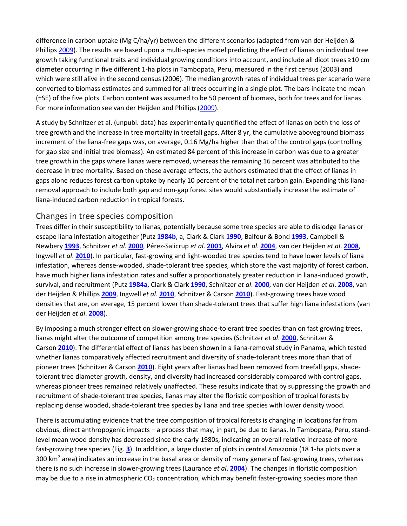difference in carbon uptake (Mg C/ha/yr) between the different scenarios (adapted from van der Heijden & Phillips [2009\)](https://onlinelibrary.wiley.com/doi/full/10.1111/btp.12060#btp12060-bib-0051). The results are based upon a multi-species model predicting the effect of lianas on individual tree growth taking functional traits and individual growing conditions into account, and include all dicot trees ≥10 cm diameter occurring in five different 1-ha plots in Tambopata, Peru, measured in the first census (2003) and which were still alive in the second census (2006). The median growth rates of individual trees per scenario were converted to biomass estimates and summed for all trees occurring in a single plot. The bars indicate the mean (±SE) of the five plots. Carbon content was assumed to be 50 percent of biomass, both for trees and for lianas. For more information see van der Heijden and Phillips [\(2009\)](https://onlinelibrary.wiley.com/doi/full/10.1111/btp.12060#btp12060-bib-0051).

A study by Schnitzer et al. (unpubl. data) has experimentally quantified the effect of lianas on both the loss of tree growth and the increase in tree mortality in treefall gaps. After 8 yr, the cumulative aboveground biomass increment of the liana-free gaps was, on average, 0.16 Mg/ha higher than that of the control gaps (controlling for gap size and initial tree biomass). An estimated 84 percent of this increase in carbon was due to a greater tree growth in the gaps where lianas were removed, whereas the remaining 16 percent was attributed to the decrease in tree mortality. Based on these average effects, the authors estimated that the effect of lianas in gaps alone reduces forest carbon uptake by nearly 10 percent of the total net carbon gain. Expanding this lianaremoval approach to include both gap and non-gap forest sites would substantially increase the estimate of liana-induced carbon reduction in tropical forests.

#### [Changes in tree species composition](https://0-web-b-ebscohost-com.libus.csd.mu.edu/ehost/detail/detail?vid=2&sid=b1949c48-aad0-4aab-ba40-bfb85a015f5d%40pdc-v-sessmgr02&bdata=JnNpdGU9ZWhvc3QtbGl2ZQ%3d%3d#toc)

Trees differ in their susceptibility to lianas, potentially because some tree species are able to dislodge lianas or escape liana infestation altogether (Putz **[1984b](https://onlinelibrary.wiley.com/doi/full/10.1111/btp.12060#btp12060-bib-0088)**, a, Clark & Clark **[1990](https://onlinelibrary.wiley.com/doi/full/10.1111/btp.12060#btp12060-bib-0021)**, Balfour & Bond **[1993](https://onlinelibrary.wiley.com/doi/full/10.1111/btp.12060#btp12060-bib-0006)**, Campbell & Newbery **[1993](https://onlinelibrary.wiley.com/doi/full/10.1111/btp.12060#btp12060-bib-0013)**, Schnitzer *et al*. **[2000](https://onlinelibrary.wiley.com/doi/full/10.1111/btp.12060#btp12060-bib-0097)**, Pérez-Salicrup *et al*. **[2001](https://onlinelibrary.wiley.com/doi/full/10.1111/btp.12060#btp12060-bib-0078)**, Alvira *et al*. **[2004](https://onlinelibrary.wiley.com/doi/full/10.1111/btp.12060#btp12060-bib-0001)**, van der Heijden *et al*. **[2008](https://onlinelibrary.wiley.com/doi/full/10.1111/btp.12060#btp12060-bib-0049)**, Ingwell *et al*. **[2010](https://onlinelibrary.wiley.com/doi/full/10.1111/btp.12060#btp12060-bib-0054)**). In particular, fast-growing and light-wooded tree species tend to have lower levels of liana infestation, whereas dense-wooded, shade-tolerant tree species, which store the vast majority of forest carbon, have much higher liana infestation rates and suffer a proportionately greater reduction in liana-induced growth, survival, and recruitment (Putz **[1984a](https://onlinelibrary.wiley.com/doi/full/10.1111/btp.12060#btp12060-bib-0087)**, Clark & Clark **[1990](https://onlinelibrary.wiley.com/doi/full/10.1111/btp.12060#btp12060-bib-0021)**, Schnitzer *et al*. **[2000](https://onlinelibrary.wiley.com/doi/full/10.1111/btp.12060#btp12060-bib-0097)**, van der Heijden *et al*. **[2008](https://onlinelibrary.wiley.com/doi/full/10.1111/btp.12060#btp12060-bib-0049)**, van der Heijden & Phillips **[2009](https://onlinelibrary.wiley.com/doi/full/10.1111/btp.12060#btp12060-bib-0051)**, Ingwell *et al*. **[2010](https://onlinelibrary.wiley.com/doi/full/10.1111/btp.12060#btp12060-bib-0054)**, Schnitzer & Carson **[2010](https://onlinelibrary.wiley.com/doi/full/10.1111/btp.12060#btp12060-bib-0096)**). Fast-growing trees have wood densities that are, on average, 15 percent lower than shade-tolerant trees that suffer high liana infestations (van der Heijden *et al*. **[2008](https://onlinelibrary.wiley.com/doi/full/10.1111/btp.12060#btp12060-bib-0049)**).

By imposing a much stronger effect on slower-growing shade-tolerant tree species than on fast growing trees, lianas might alter the outcome of competition among tree species (Schnitzer *et al*. **[2000](https://onlinelibrary.wiley.com/doi/full/10.1111/btp.12060#btp12060-bib-0097)**, Schnitzer & Carson **[2010](https://onlinelibrary.wiley.com/doi/full/10.1111/btp.12060#btp12060-bib-0096)**). The differential effect of lianas has been shown in a liana-removal study in Panama, which tested whether lianas comparatively affected recruitment and diversity of shade-tolerant trees more than that of pioneer trees (Schnitzer & Carson **[2010](https://onlinelibrary.wiley.com/doi/full/10.1111/btp.12060#btp12060-bib-0096)**). Eight years after lianas had been removed from treefall gaps, shadetolerant tree diameter growth, density, and diversity had increased considerably compared with control gaps, whereas pioneer trees remained relatively unaffected. These results indicate that by suppressing the growth and recruitment of shade-tolerant tree species, lianas may alter the floristic composition of tropical forests by replacing dense wooded, shade-tolerant tree species by liana and tree species with lower density wood.

There is accumulating evidence that the tree composition of tropical forests is changing in locations far from obvious, direct anthropogenic impacts – a process that may, in part, be due to lianas. In Tambopata, Peru, standlevel mean wood density has decreased since the early 1980s, indicating an overall relative increase of more fast-growing tree species (Fig. **[3](https://onlinelibrary.wiley.com/doi/full/10.1111/btp.12060#btp12060-fig-0003)**). In addition, a large cluster of plots in central Amazonia (18 1-ha plots over a 300  $\rm km^2$  area) indicates an increase in the basal area or density of many genera of fast-growing trees, whereas there is no such increase in slower-growing trees (Laurance *et al*. **[2004](https://onlinelibrary.wiley.com/doi/full/10.1111/btp.12060#btp12060-bib-0063)**). The changes in floristic composition may be due to a rise in atmospheric  $CO<sub>2</sub>$  concentration, which may benefit faster-growing species more than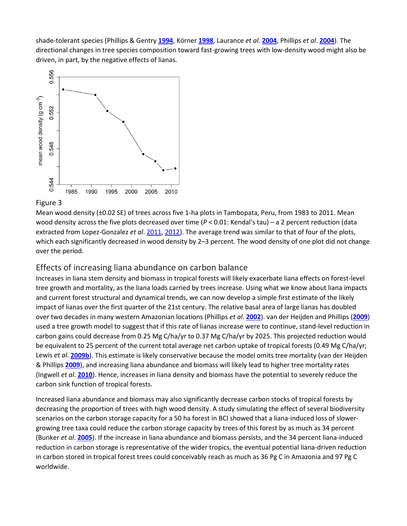shade-tolerant species (Phillips & Gentry **[1994](https://onlinelibrary.wiley.com/doi/full/10.1111/btp.12060#btp12060-bib-0082)**, Körner **[1998](https://onlinelibrary.wiley.com/doi/full/10.1111/btp.12060#btp12060-bib-0061)**, Laurance *et al*. **[2004](https://onlinelibrary.wiley.com/doi/full/10.1111/btp.12060#btp12060-bib-0063)**, Phillips *et al*. **[2004](https://onlinelibrary.wiley.com/doi/full/10.1111/btp.12060#btp12060-bib-0081)**). The directional changes in tree species composition toward fast-growing trees with low-density wood might also be driven, in part, by the negative effects of lianas.



Figure 3

Mean wood density (±0.02 SE) of trees across five 1-ha plots in Tambopata, Peru, from 1983 to 2011. Mean wood density across the five plots decreased over time ( $P < 0.01$ : Kendal's tau) – a 2 percent reduction (data extracted from Lopez-Gonzalez *et al*. [2011,](https://onlinelibrary.wiley.com/doi/full/10.1111/btp.12060#btp12060-bib-0067) [2012\)](https://onlinelibrary.wiley.com/doi/full/10.1111/btp.12060#btp12060-bib-0068). The average trend was similar to that of four of the plots, which each significantly decreased in wood density by 2–3 percent. The wood density of one plot did not change over the period.

### [Effects of increasing liana abundance on carbon balance](https://0-web-b-ebscohost-com.libus.csd.mu.edu/ehost/detail/detail?vid=2&sid=b1949c48-aad0-4aab-ba40-bfb85a015f5d%40pdc-v-sessmgr02&bdata=JnNpdGU9ZWhvc3QtbGl2ZQ%3d%3d#toc)

Increases in liana stem density and biomass in tropical forests will likely exacerbate liana effects on forest-level tree growth and mortality, as the liana loads carried by trees increase. Using what we know about liana impacts and current forest structural and dynamical trends, we can now develop a simple first estimate of the likely impact of lianas over the first quarter of the 21st century. The relative basal area of large lianas has doubled over two decades in many western Amazonian locations (Phillips *et al*. **[2002](https://onlinelibrary.wiley.com/doi/full/10.1111/btp.12060#btp12060-bib-0083)**). van der Heijden and Phillips (**[2009](https://onlinelibrary.wiley.com/doi/full/10.1111/btp.12060#btp12060-bib-0051)**) used a tree growth model to suggest that if this rate of lianas increase were to continue, stand-level reduction in carbon gains could decrease from 0.25 Mg C/ha/yr to 0.37 Mg C/ha/yr by 2025. This projected reduction would be equivalent to 25 percent of the current total average net carbon uptake of tropical forests (0.49 Mg C/ha/yr; Lewis *et al*. **[2009b](https://onlinelibrary.wiley.com/doi/full/10.1111/btp.12060#btp12060-bib-0066)**). This estimate is likely conservative because the model omits tree mortality (van der Heijden & Phillips **[2009](https://onlinelibrary.wiley.com/doi/full/10.1111/btp.12060#btp12060-bib-0051)**), and increasing liana abundance and biomass will likely lead to higher tree mortality rates (Ingwell *et al*. **[2010](https://onlinelibrary.wiley.com/doi/full/10.1111/btp.12060#btp12060-bib-0054)**). Hence, increases in liana density and biomass have the potential to severely reduce the carbon sink function of tropical forests.

Increased liana abundance and biomass may also significantly decrease carbon stocks of tropical forests by decreasing the proportion of trees with high wood density. A study simulating the effect of several biodiversity scenarios on the carbon storage capacity for a 50 ha forest in BCI showed that a liana-induced loss of slowergrowing tree taxa could reduce the carbon storage capacity by trees of this forest by as much as 34 percent (Bunker *et al*. **[2005](https://onlinelibrary.wiley.com/doi/full/10.1111/btp.12060#btp12060-bib-0008)**). If the increase in liana abundance and biomass persists, and the 34 percent liana-induced reduction in carbon storage is representative of the wider tropics, the eventual potential liana-driven reduction in carbon stored in tropical forest trees could conceivably reach as much as 36 Pg C in Amazonia and 97 Pg C worldwide.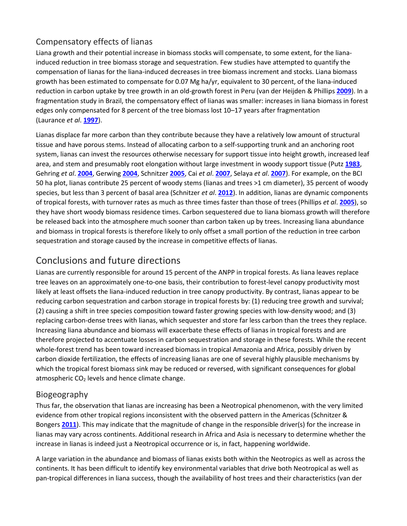## [Compensatory effects of lianas](https://0-web-b-ebscohost-com.libus.csd.mu.edu/ehost/detail/detail?vid=2&sid=b1949c48-aad0-4aab-ba40-bfb85a015f5d%40pdc-v-sessmgr02&bdata=JnNpdGU9ZWhvc3QtbGl2ZQ%3d%3d#toc)

Liana growth and their potential increase in biomass stocks will compensate, to some extent, for the lianainduced reduction in tree biomass storage and sequestration. Few studies have attempted to quantify the compensation of lianas for the liana-induced decreases in tree biomass increment and stocks. Liana biomass growth has been estimated to compensate for 0.07 Mg ha/yr, equivalent to 30 percent, of the liana-induced reduction in carbon uptake by tree growth in an old-growth forest in Peru (van der Heijden & Phillips **[2009](https://onlinelibrary.wiley.com/doi/full/10.1111/btp.12060#btp12060-bib-0051)**). In a fragmentation study in Brazil, the compensatory effect of lianas was smaller: increases in liana biomass in forest edges only compensated for 8 percent of the tree biomass lost 10–17 years after fragmentation (Laurance *et al*. **[1997](https://onlinelibrary.wiley.com/doi/full/10.1111/btp.12060#btp12060-bib-0062)**).

Lianas displace far more carbon than they contribute because they have a relatively low amount of structural tissue and have porous stems. Instead of allocating carbon to a self-supporting trunk and an anchoring root system, lianas can invest the resources otherwise necessary for support tissue into height growth, increased leaf area, and stem and presumably root elongation without large investment in woody support tissue (Putz **[1983](https://onlinelibrary.wiley.com/doi/full/10.1111/btp.12060#btp12060-bib-0086)**, Gehring *et al*. **[2004](https://onlinelibrary.wiley.com/doi/full/10.1111/btp.12060#btp12060-bib-0038)**, Gerwing **[2004](https://onlinelibrary.wiley.com/doi/full/10.1111/btp.12060#btp12060-bib-0041)**, Schnitzer **[2005](https://onlinelibrary.wiley.com/doi/full/10.1111/btp.12060#btp12060-bib-0094)**, Cai *et al*. **[2007](https://onlinelibrary.wiley.com/doi/full/10.1111/btp.12060#btp12060-bib-0011)**, Selaya *et al*. **[2007](https://onlinelibrary.wiley.com/doi/full/10.1111/btp.12060#btp12060-bib-0100)**). For example, on the BCI 50 ha plot, lianas contribute 25 percent of woody stems (lianas and trees >1 cm diameter), 35 percent of woody species, but less than 3 percent of basal area (Schnitzer *et al*. **[2012](https://onlinelibrary.wiley.com/doi/full/10.1111/btp.12060#btp12060-bib-0099)**). In addition, lianas are dynamic components of tropical forests, with turnover rates as much as three times faster than those of trees (Phillips *et al*. **[2005](https://onlinelibrary.wiley.com/doi/full/10.1111/btp.12060#btp12060-bib-0084)**), so they have short woody biomass residence times. Carbon sequestered due to liana biomass growth will therefore be released back into the atmosphere much sooner than carbon taken up by trees. Increasing liana abundance and biomass in tropical forests is therefore likely to only offset a small portion of the reduction in tree carbon sequestration and storage caused by the increase in competitive effects of lianas.

## [Conclusions and future directions](https://0-web-b-ebscohost-com.libus.csd.mu.edu/ehost/detail/detail?vid=2&sid=b1949c48-aad0-4aab-ba40-bfb85a015f5d%40pdc-v-sessmgr02&bdata=JnNpdGU9ZWhvc3QtbGl2ZQ%3d%3d#toc)

Lianas are currently responsible for around 15 percent of the ANPP in tropical forests. As liana leaves replace tree leaves on an approximately one-to-one basis, their contribution to forest-level canopy productivity most likely at least offsets the liana-induced reduction in tree canopy productivity. By contrast, lianas appear to be reducing carbon sequestration and carbon storage in tropical forests by: (1) reducing tree growth and survival; (2) causing a shift in tree species composition toward faster growing species with low-density wood; and (3) replacing carbon-dense trees with lianas, which sequester and store far less carbon than the trees they replace. Increasing liana abundance and biomass will exacerbate these effects of lianas in tropical forests and are therefore projected to accentuate losses in carbon sequestration and storage in these forests. While the recent whole-forest trend has been toward increased biomass in tropical Amazonia and Africa, possibly driven by carbon dioxide fertilization, the effects of increasing lianas are one of several highly plausible mechanisms by which the tropical forest biomass sink may be reduced or reversed, with significant consequences for global atmospheric  $CO<sub>2</sub>$  levels and hence climate change.

#### [Biogeography](https://0-web-b-ebscohost-com.libus.csd.mu.edu/ehost/detail/detail?vid=2&sid=b1949c48-aad0-4aab-ba40-bfb85a015f5d%40pdc-v-sessmgr02&bdata=JnNpdGU9ZWhvc3QtbGl2ZQ%3d%3d#toc)

Thus far, the observation that lianas are increasing has been a Neotropical phenomenon, with the very limited evidence from other tropical regions inconsistent with the observed pattern in the Americas (Schnitzer & Bongers **[2011](https://onlinelibrary.wiley.com/doi/full/10.1111/btp.12060#btp12060-bib-0095)**). This may indicate that the magnitude of change in the responsible driver(s) for the increase in lianas may vary across continents. Additional research in Africa and Asia is necessary to determine whether the increase in lianas is indeed just a Neotropical occurrence or is, in fact, happening worldwide.

A large variation in the abundance and biomass of lianas exists both within the Neotropics as well as across the continents. It has been difficult to identify key environmental variables that drive both Neotropical as well as pan-tropical differences in liana success, though the availability of host trees and their characteristics (van der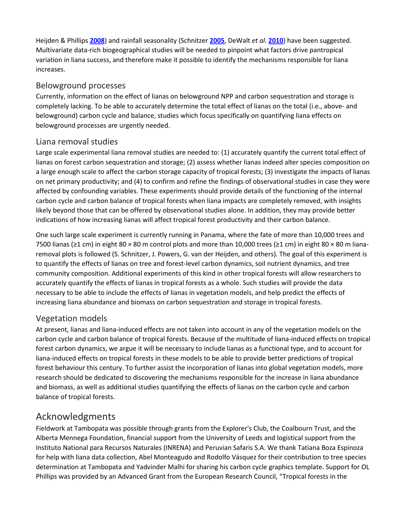Heijden & Phillips **[2008](https://onlinelibrary.wiley.com/doi/full/10.1111/btp.12060#btp12060-bib-0050)**) and rainfall seasonality (Schnitzer **[2005](https://onlinelibrary.wiley.com/doi/full/10.1111/btp.12060#btp12060-bib-0094)**, DeWalt *et al*. **[2010](https://onlinelibrary.wiley.com/doi/full/10.1111/btp.12060#btp12060-bib-0026)**) have been suggested. Multivariate data-rich biogeographical studies will be needed to pinpoint what factors drive pantropical variation in liana success, and therefore make it possible to identify the mechanisms responsible for liana increases.

#### [Belowground processes](https://0-web-b-ebscohost-com.libus.csd.mu.edu/ehost/detail/detail?vid=2&sid=b1949c48-aad0-4aab-ba40-bfb85a015f5d%40pdc-v-sessmgr02&bdata=JnNpdGU9ZWhvc3QtbGl2ZQ%3d%3d#toc)

Currently, information on the effect of lianas on belowground NPP and carbon sequestration and storage is completely lacking. To be able to accurately determine the total effect of lianas on the total (i.e., above- and belowground) carbon cycle and balance, studies which focus specifically on quantifying liana effects on belowground processes are urgently needed.

#### [Liana removal studies](https://0-web-b-ebscohost-com.libus.csd.mu.edu/ehost/detail/detail?vid=2&sid=b1949c48-aad0-4aab-ba40-bfb85a015f5d%40pdc-v-sessmgr02&bdata=JnNpdGU9ZWhvc3QtbGl2ZQ%3d%3d#toc)

Large scale experimental liana removal studies are needed to: (1) accurately quantify the current total effect of lianas on forest carbon sequestration and storage; (2) assess whether lianas indeed alter species composition on a large enough scale to affect the carbon storage capacity of tropical forests; (3) investigate the impacts of lianas on net primary productivity; and (4) to confirm and refine the findings of observational studies in case they were affected by confounding variables. These experiments should provide details of the functioning of the internal carbon cycle and carbon balance of tropical forests when liana impacts are completely removed, with insights likely beyond those that can be offered by observational studies alone. In addition, they may provide better indications of how increasing lianas will affect tropical forest productivity and their carbon balance.

One such large scale experiment is currently running in Panama, where the fate of more than 10,000 trees and 7500 lianas (≥1 cm) in eight 80 × 80 m control plots and more than 10,000 trees (≥1 cm) in eight 80 × 80 m lianaremoval plots is followed (S. Schnitzer, J. Powers, G. van der Heijden, and others). The goal of this experiment is to quantify the effects of lianas on tree and forest-level carbon dynamics, soil nutrient dynamics, and tree community composition. Additional experiments of this kind in other tropical forests will allow researchers to accurately quantify the effects of lianas in tropical forests as a whole. Such studies will provide the data necessary to be able to include the effects of lianas in vegetation models, and help predict the effects of increasing liana abundance and biomass on carbon sequestration and storage in tropical forests.

#### [Vegetation models](https://0-web-b-ebscohost-com.libus.csd.mu.edu/ehost/detail/detail?vid=2&sid=b1949c48-aad0-4aab-ba40-bfb85a015f5d%40pdc-v-sessmgr02&bdata=JnNpdGU9ZWhvc3QtbGl2ZQ%3d%3d#toc)

At present, lianas and liana-induced effects are not taken into account in any of the vegetation models on the carbon cycle and carbon balance of tropical forests. Because of the multitude of liana-induced effects on tropical forest carbon dynamics, we argue it will be necessary to include lianas as a functional type, and to account for liana-induced effects on tropical forests in these models to be able to provide better predictions of tropical forest behaviour this century. To further assist the incorporation of lianas into global vegetation models, more research should be dedicated to discovering the mechanisms responsible for the increase in liana abundance and biomass, as well as additional studies quantifying the effects of lianas on the carbon cycle and carbon balance of tropical forests.

## [Acknowledgments](https://0-web-b-ebscohost-com.libus.csd.mu.edu/ehost/detail/detail?vid=2&sid=b1949c48-aad0-4aab-ba40-bfb85a015f5d%40pdc-v-sessmgr02&bdata=JnNpdGU9ZWhvc3QtbGl2ZQ%3d%3d#toc)

Fieldwork at Tambopata was possible through grants from the Explorer's Club, the Coalbourn Trust, and the Alberta Mennega Foundation, financial support from the University of Leeds and logistical support from the Instituto National para Recursos Naturales (INRENA) and Peruvian Safaris S.A. We thank Tatiana Boza Espinoza for help with liana data collection, Abel Monteagudo and Rodolfo Vásquez for their contribution to tree species determination at Tambopata and Yadvinder Malhi for sharing his carbon cycle graphics template. Support for OL Phillips was provided by an Advanced Grant from the European Research Council, "Tropical forests in the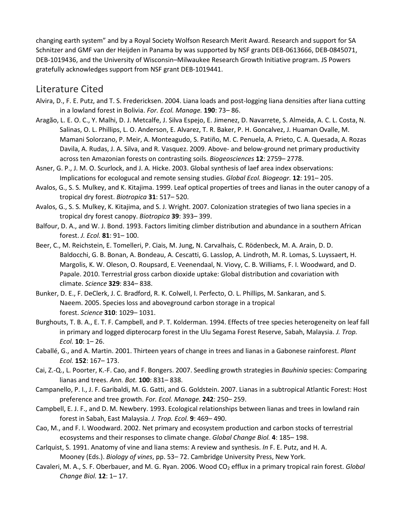changing earth system" and by a Royal Society Wolfson Research Merit Award. Research and support for SA Schnitzer and GMF van der Heijden in Panama by was supported by NSF grants DEB-0613666, DEB-0845071, DEB-1019436, and the University of Wisconsin–Milwaukee Research Growth Initiative program. JS Powers gratefully acknowledges support from NSF grant DEB-1019441.

### Literature Cited

- Alvira, D., F. E. Putz, and T. S. Fredericksen. 2004. Liana loads and post-logging liana densities after liana cutting in a lowland forest in Bolivia. *For. Ecol. Manage.* **190**: 73– 86.
- Aragão, L. E. O. C., Y. Malhi, D. J. Metcalfe, J. Silva Espejo, E. Jimenez, D. Navarrete, S. Almeida, A. C. L. Costa, N. Salinas, O. L. Phillips, L. O. Anderson, E. Alvarez, T. R. Baker, P. H. Goncalvez, J. Huaman Ovalle, M. Mamani Solorzano, P. Meir, A. Monteagudo, S. Patiño, M. C. Penuela, A. Prieto, C. A. Quesada, A. Rozas Davila, A. Rudas, J. A. Silva, and R. Vasquez. 2009. Above- and below-ground net primary productivity across ten Amazonian forests on contrasting soils. *Biogeosciences* **12**: 2759– 2778.
- Asner, G. P., J. M. O. Scurlock, and J. A. Hicke. 2003. Global synthesis of laef area index observations: Implications for ecologucal and remote sensing studies. *Global Ecol. Biogeogr.* **12**: 191– 205.
- Avalos, G., S. S. Mulkey, and K. Kitajima. 1999. Leaf optical properties of trees and lianas in the outer canopy of a tropical dry forest. *Biotropica* **31**: 517– 520.
- Avalos, G., S. S. Mulkey, K. Kitajima, and S. J. Wright. 2007. Colonization strategies of two liana species in a tropical dry forest canopy. *Biotropica* **39**: 393– 399.
- Balfour, D. A., and W. J. Bond. 1993. Factors limiting climber distribution and abundance in a southern African forest. *J. Ecol.* **81**: 91– 100.
- Beer, C., M. Reichstein, E. Tomelleri, P. Ciais, M. Jung, N. Carvalhais, C. Rödenbeck, M. A. Arain, D. D. Baldocchi, G. B. Bonan, A. Bondeau, A. Cescatti, G. Lasslop, A. Lindroth, M. R. Lomas, S. Luyssaert, H. Margolis, K. W. Oleson, O. Roupsard, E. Veenendaal, N. Viovy, C. B. Williams, F. I. Woodward, and D. Papale. 2010. Terrestrial gross carbon dioxide uptake: Global distribution and covariation with climate. *Science* **329**: 834– 838.
- Bunker, D. E., F. DeClerk, J. C. Bradford, R. K. Colwell, I. Perfecto, O. L. Phillips, M. Sankaran, and S. Naeem. 2005. Species loss and aboveground carbon storage in a tropical forest. *Science* **310**: 1029– 1031.
- Burghouts, T. B. A., E. T. F. Campbell, and P. T. Kolderman. 1994. Effects of tree species heterogeneity on leaf fall in primary and logged dipterocarp forest in the Ulu Segama Forest Reserve, Sabah, Malaysia. *J. Trop. Ecol.* **10**: 1– 26.
- Caballé, G., and A. Martin. 2001. Thirteen years of change in trees and lianas in a Gabonese rainforest. *Plant Ecol.* **152**: 167– 173.
- Cai, Z.-Q., L. Poorter, K.-F. Cao, and F. Bongers. 2007. Seedling growth strategies in *Bauhinia* species: Comparing lianas and trees. *Ann. Bot.* **100**: 831– 838.
- Campanello, P. I., J. F. Garibaldi, M. G. Gatti, and G. Goldstein. 2007. Lianas in a subtropical Atlantic Forest: Host preference and tree growth. *For. Ecol. Manage.* **242**: 250– 259.
- Campbell, E. J. F., and D. M. Newbery. 1993. Ecological relationships between lianas and trees in lowland rain forest in Sabah, East Malaysia. *J. Trop. Ecol.* **9**: 469– 490.
- Cao, M., and F. I. Woodward. 2002. Net primary and ecosystem production and carbon stocks of terrestrial ecosystems and their responses to climate change. *Global Change Biol.* **4**: 185– 198.
- Carlquist, S. 1991. Anatomy of vine and liana stems: A review and synthesis. *In* F. E. Putz, and H. A. Mooney (Eds.). *Biology of vines*, pp. 53– 72. Cambridge University Press, New York.
- Cavaleri, M. A., S. F. Oberbauer, and M. G. Ryan. 2006. Wood CO2 efflux in a primary tropical rain forest. *Global Change Biol.* **12**: 1– 17.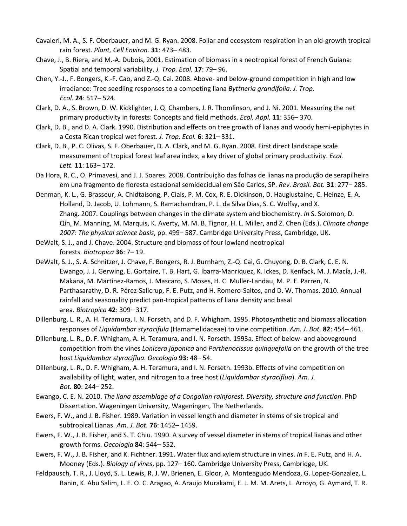- Cavaleri, M. A., S. F. Oberbauer, and M. G. Ryan. 2008. Foliar and ecosystem respiration in an old-growth tropical rain forest. *Plant, Cell Environ.* **31**: 473– 483.
- Chave, J., B. Riera, and M.-A. Dubois, 2001. Estimation of biomass in a neotropical forest of French Guiana: Spatial and temporal variability. *J. Trop. Ecol.* **17**: 79– 96.
- Chen, Y.-J., F. Bongers, K.-F. Cao, and Z.-Q. Cai. 2008. Above- and below-ground competition in high and low irradiance: Tree seedling responses to a competing liana *Byttneria grandifolia*. *J. Trop. Ecol.* **24**: 517– 524.
- Clark, D. A., S. Brown, D. W. Kicklighter, J. Q. Chambers, J. R. Thomlinson, and J. Ni. 2001. Measuring the net primary productivity in forests: Concepts and field methods. *Ecol. Appl.* **11**: 356– 370.
- Clark, D. B., and D. A. Clark. 1990. Distribution and effects on tree growth of lianas and woody hemi-epiphytes in a Costa Rican tropical wet forest. *J. Trop. Ecol.* **6**: 321– 331.
- Clark, D. B., P. C. Olivas, S. F. Oberbauer, D. A. Clark, and M. G. Ryan. 2008. First direct landscape scale measurement of tropical forest leaf area index, a key driver of global primary productivity. *Ecol. Lett.* **11**: 163– 172.
- Da Hora, R. C., O. Primavesi, and J. J. Soares. 2008. Contribuição das folhas de lianas na produção de serapilheira em una fragmento de floresta estacional semidecidual em São Carlos, SP. *Rev. Brasil. Bot.* **31**: 277– 285.
- Denman, K. L., G. Brasseur, A. Chidtaisong, P. Ciais, P. M. Cox, R. E. Dickinson, D. Hauglustaine, C. Heinze, E. A. Holland, D. Jacob, U. Lohmann, S. Ramachandran, P. L. da Silva Dias, S. C. Wolfsy, and X. Zhang. 2007. Couplings between changes in the climate system and biochemistry. *In* S. Solomon, D. Qin, M. Manning, M. Marquis, K. Averty, M. M. B. Tignor, H. L. Miller, and Z. Chen (Eds.). *Climate change 2007: The physical science basis*, pp. 499– 587. Cambridge University Press, Cambridge, UK.
- DeWalt, S. J., and J. Chave. 2004. Structure and biomass of four lowland neotropical forests. *Biotropica* **36**: 7– 19.
- DeWalt, S. J., S. A. Schnitzer, J. Chave, F. Bongers, R. J. Burnham, Z.-Q. Cai, G. Chuyong, D. B. Clark, C. E. N. Ewango, J. J. Gerwing, E. Gortaire, T. B. Hart, G. Ibarra-Manriquez, K. Ickes, D. Kenfack, M. J. Macía, J.-R. Makana, M. Martinez-Ramos, J. Mascaro, S. Moses, H. C. Muller-Landau, M. P. E. Parren, N. Parthasarathy, D. R. Pérez-Salicrup, F. E. Putz, and H. Romero-Saltos, and D. W. Thomas. 2010. Annual rainfall and seasonality predict pan-tropical patterns of liana density and basal area. *Biotropica* **42**: 309– 317.
- Dillenburg, L. R., A. H. Teramura, I. N. Forseth, and D. F. Whigham. 1995. Photosynthetic and biomass allocation responses of *Liquidambar styracifula* (Hamamelidaceae) to vine competition. *Am. J. Bot.* **82**: 454– 461.
- Dillenburg, L. R., D. F. Whigham, A. H. Teramura, and I. N. Forseth. 1993a. Effect of below- and aboveground competition from the vines *Lonicera japonica* and *Parthenocissus quinquefolia* on the growth of the tree host *Liquidambar styraciflua*. *Oecologia* **93**: 48– 54.
- Dillenburg, L. R., D. F. Whigham, A. H. Teramura, and I. N. Forseth. 1993b. Effects of vine competition on availability of light, water, and nitrogen to a tree host (*Liquidambar styraciflua*). *Am. J. Bot.* **80**: 244– 252.
- Ewango, C. E. N. 2010. *The liana assemblage of a Congolian rainforest. Diversity, structure and function*. PhD Dissertation. Wageningen University, Wageningen, The Netherlands.
- Ewers, F. W., and J. B. Fisher. 1989. Variation in vessel length and diameter in stems of six tropical and subtropical Lianas. *Am. J. Bot.* **76**: 1452– 1459.
- Ewers, F. W., J. B. Fisher, and S. T. Chiu. 1990. A survey of vessel diameter in stems of tropical lianas and other growth forms. *Oecologia* **84**: 544– 552.
- Ewers, F. W., J. B. Fisher, and K. Fichtner. 1991. Water flux and xylem structure in vines. *In* F. E. Putz, and H. A. Mooney (Eds.). *Biology of vines*, pp. 127– 160. Cambridge University Press, Cambridge, UK.
- Feldpausch, T. R., J. Lloyd, S. L. Lewis, R. J. W. Brienen, E. Gloor, A. Monteagudo Mendoza, G. Lopez-Gonzalez, L. Banin, K. Abu Salim, L. E. O. C. Aragao, A. Araujo Murakami, E. J. M. M. Arets, L. Arroyo, G. Aymard, T. R.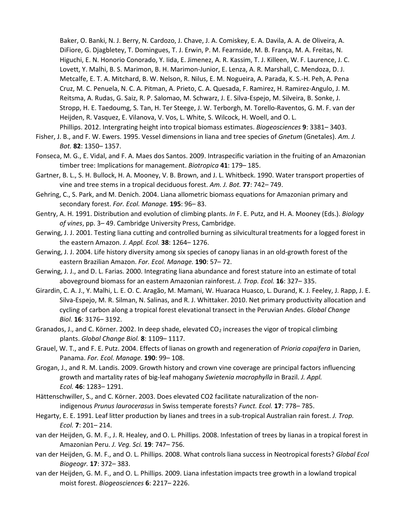Baker, O. Banki, N. J. Berry, N. Cardozo, J. Chave, J. A. Comiskey, E. A. Davila, A. A. de Oliveira, A. DiFiore, G. Djagbletey, T. Domingues, T. J. Erwin, P. M. Fearnside, M. B. França, M. A. Freitas, N. Higuchi, E. N. Honorio Conorado, Y. Iida, E. Jimenez, A. R. Kassim, T. J. Killeen, W. F. Laurence, J. C. Lovett, Y. Malhi, B. S. Marimon, B. H. Marimon-Junior, E. Lenza, A. R. Marshall, C. Mendoza, D. J. Metcalfe, E. T. A. Mitchard, B. W. Nelson, R. Nilus, E. M. Nogueira, A. Parada, K. S.-H. Peh, A. Pena Cruz, M. C. Penuela, N. C. A. Pitman, A. Prieto, C. A. Quesada, F. Ramirez, H. Ramirez-Angulo, J. M. Reitsma, A. Rudas, G. Saiz, R. P. Salomao, M. Schwarz, J. E. Silva-Espejo, M. Silveira, B. Sonke, J. Stropp, H. E. Taedoumg, S. Tan, H. Ter Steege, J. W. Terborgh, M. Torello-Raventos, G. M. F. van der Heijden, R. Vasquez, E. Vilanova, V. Vos, L. White, S. Wilcock, H. Woell, and O. L. Phillips. 2012. Intergrating height into tropical biomass estimates. *Biogeosciences* **9**: 3381– 3403.

- Fisher, J. B., and F. W. Ewers. 1995. Vessel dimensions in liana and tree species of *Gnetum* (Gnetales). *Am. J. Bot.* **82**: 1350– 1357.
- Fonseca, M. G., E. Vidal, and F. A. Maes dos Santos. 2009. Intraspecific variation in the fruiting of an Amazonian timber tree: Implications for management. *Biotropica* **41**: 179– 185.
- Gartner, B. L., S. H. Bullock, H. A. Mooney, V. B. Brown, and J. L. Whitbeck. 1990. Water transport properties of vine and tree stems in a tropical deciduous forest. *Am. J. Bot.* **77**: 742– 749.
- Gehring, C., S. Park, and M. Denich. 2004. Liana allometric biomass equations for Amazonian primary and secondary forest. *For. Ecol. Manage.* **195**: 96– 83.
- Gentry, A. H. 1991. Distribution and evolution of climbing plants. *In* F. E. Putz, and H. A. Mooney (Eds.). *Biology of vines*, pp. 3– 49. Cambridge University Press, Cambridge.
- Gerwing, J. J. 2001. Testing liana cutting and controlled burning as silvicultural treatments for a logged forest in the eastern Amazon. *J. Appl. Ecol.* **38**: 1264– 1276.
- Gerwing, J. J. 2004. Life history diversity among six species of canopy lianas in an old-growth forest of the eastern Brazilian Amazon. *For. Ecol. Manage.* **190**: 57– 72.
- Gerwing, J. J., and D. L. Farias. 2000. Integrating liana abundance and forest stature into an estimate of total aboveground biomass for an eastern Amazonian rainforest. *J. Trop. Ecol.* **16**: 327– 335.
- Girardin, C. A. J., Y. Malhi, L. E. O. C. Aragão, M. Mamani, W. Huaraca Huasco, L. Durand, K. J. Feeley, J. Rapp, J. E. Silva-Espejo, M. R. Silman, N. Salinas, and R. J. Whittaker. 2010. Net primary productivity allocation and cycling of carbon along a tropical forest elevational transect in the Peruvian Andes. *Global Change Biol.* **16**: 3176– 3192.
- Granados, J., and C. Körner. 2002. In deep shade, elevated  $CO<sub>2</sub>$  increases the vigor of tropical climbing plants. *Global Change Biol.* **8**: 1109– 1117.
- Grauel, W. T., and F. E. Putz. 2004. Effects of lianas on growth and regeneration of *Prioria copaifera* in Darien, Panama. *For. Ecol. Manage.* **190**: 99– 108.
- Grogan, J., and R. M. Landis. 2009. Growth history and crown vine coverage are principal factors influencing growth and martality rates of big-leaf mahogany *Swietenia macrophylla* in Brazil. *J. Appl. Ecol.* **46**: 1283– 1291.
- Hättenschwiller, S., and C. Körner. 2003. Does elevated CO2 facilitate naturalization of the nonindigenous *Prunus laurocerasus* in Swiss temperate forests? *Funct. Ecol.* **17**: 778– 785.
- Hegarty, E. E. 1991. Leaf litter production by lianes and trees in a sub-tropical Australian rain forest. *J. Trop. Ecol.* **7**: 201– 214.
- van der Heijden, G. M. F., J. R. Healey, and O. L. Phillips. 2008. Infestation of trees by lianas in a tropical forest in Amazonian Peru. *J. Veg. Sci.* **19**: 747– 756.
- van der Heijden, G. M. F., and O. L. Phillips. 2008. What controls liana success in Neotropical forests? *Global Ecol Biogeogr.* **17**: 372– 383.
- van der Heijden, G. M. F., and O. L. Phillips. 2009. Liana infestation impacts tree growth in a lowland tropical moist forest. *Biogeosciences* **6**: 2217– 2226.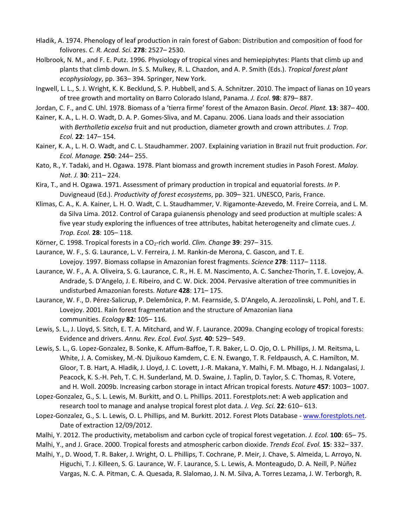- Hladik, A. 1974. Phenology of leaf production in rain forest of Gabon: Distribution and composition of food for folivores. *C. R. Acad. Sci.* **278**: 2527– 2530.
- Holbrook, N. M., and F. E. Putz. 1996. Physiology of tropical vines and hemiepiphytes: Plants that climb up and plants that climb down. *In* S. S. Mulkey, R. L. Chazdon, and A. P. Smith (Eds.). *Tropical forest plant ecophysiology*, pp. 363– 394. Springer, New York.
- Ingwell, L. L., S. J. Wright, K. K. Becklund, S. P. Hubbell, and S. A. Schnitzer. 2010. The impact of lianas on 10 years of tree growth and mortality on Barro Colorado Island, Panama. *J. Ecol.* **98**: 879– 887.
- Jordan, C. F., and C. Uhl. 1978. Biomass of a 'tierra firme' forest of the Amazon Basin. *Oecol. Plant.* **13**: 387– 400.
- Kainer, K. A., L. H. O. Wadt, D. A. P. Gomes-Sliva, and M. Capanu. 2006. Liana loads and their association with *Bertholletia excelsa* fruit and nut production, diameter growth and crown attributes. *J. Trop. Ecol.* **22**: 147– 154.
- Kainer, K. A., L. H. O. Wadt, and C. L. Staudhammer. 2007. Explaining variation in Brazil nut fruit production. *For. Ecol. Manage.* **250**: 244– 255.
- Kato, R., Y. Tadaki, and H. Ogawa. 1978. Plant biomass and growth increment studies in Pasoh Forest. *Malay. Nat. J.* **30**: 211– 224.
- Kira, T., and H. Ogawa. 1971. Assessment of primary production in tropical and equatorial forests. *In* P. Duvigneaud (Ed.). *Productivity of forest ecosystems*, pp. 309– 321. UNESCO, Paris, France.
- Klimas, C. A., K. A. Kainer, L. H. O. Wadt, C. L. Staudhammer, V. Rigamonte-Azevedo, M. Freire Correia, and L. M. da Silva Lima. 2012. Control of Carapa guianensis phenology and seed production at multiple scales: A five year study exploring the influences of tree attributes, habitat heterogeneity and climate cues. *J. Trop. Ecol.* **28**: 105– 118.
- Körner, C. 1998. Tropical forests in a CO2-rich world. *Clim. Change* **39**: 297– 315.
- Laurance, W. F., S. G. Laurance, L. V. Ferreira, J. M. Rankin-de Merona, C. Gascon, and T. E. Lovejoy. 1997. Biomass collapse in Amazonian forest fragments. *Science* **278**: 1117– 1118.
- Laurance, W. F., A. A. Oliveira, S. G. Laurance, C. R., H. E. M. Nascimento, A. C. Sanchez-Thorin, T. E. Lovejoy, A. Andrade, S. D'Angelo, J. E. Ribeiro, and C. W. Dick. 2004. Pervasive alteration of tree communities in undisturbed Amazonian forests. *Nature* **428**: 171– 175.
- Laurance, W. F., D. Pérez-Salicrup, P. Delemônica, P. M. Fearnside, S. D'Angelo, A. Jerozolinski, L. Pohl, and T. E. Lovejoy. 2001. Rain forest fragmentation and the structure of Amazonian liana communities. *Ecology* **82**: 105– 116.
- Lewis, S. L., J. Lloyd, S. Sitch, E. T. A. Mitchard, and W. F. Laurance. 2009a. Changing ecology of tropical forests: Evidence and drivers. *Annu. Rev. Ecol. Evol. Syst.* **40**: 529– 549.
- Lewis, S. L., G. Lopez-Gonzalez, B. Sonke, K. Affum-Baffoe, T. R. Baker, L. O. Ojo, O. L. Phillips, J. M. Reitsma, L. White, J. A. Comiskey, M.-N. Djuikouo Kamdem, C. E. N. Ewango, T. R. Feldpausch, A. C. Hamilton, M. Gloor, T. B. Hart, A. Hladik, J. Lloyd, J. C. Lovett, J.-R. Makana, Y. Malhi, F. M. Mbago, H. J. Ndangalasi, J. Peacock, K. S.-H. Peh, T. C. H. Sunderland, M. D. Swaine, J. Taplin, D. Taylor, S. C. Thomas, R. Votere, and H. Woll. 2009b. Increasing carbon storage in intact African tropical forests. *Nature* **457**: 1003– 1007.
- Lopez-Gonzalez, G., S. L. Lewis, M. Burkitt, and O. L. Phillips. 2011. Forestplots.net: A web application and research tool to manage and analyse tropical forest plot data. *J. Veg. Sci.* **22**: 610– 613.
- Lopez-Gonzalez, G., S. L. Lewis, O. L. Phillips, and M. Burkitt. 2012. Forest Plots Database [www.forestplots.net.](http://www.forestplots.net/) Date of extraction 12/09/2012.
- Malhi, Y. 2012. The productivity, metabolism and carbon cycle of tropical forest vegetation. *J. Ecol.* **100**: 65– 75.
- Malhi, Y., and J. Grace. 2000. Tropical forests and atmospheric carbon dioxide. *Trends Ecol. Evol.* **15**: 332– 337.
- Malhi, Y., D. Wood, T. R. Baker, J. Wright, O. L. Phillips, T. Cochrane, P. Meir, J. Chave, S. Almeida, L. Arroyo, N. Higuchi, T. J. Killeen, S. G. Laurance, W. F. Laurance, S. L. Lewis, A. Monteagudo, D. A. Neill, P. Núñez Vargas, N. C. A. Pitman, C. A. Quesada, R. Slalomao, J. N. M. Silva, A. Torres Lezama, J. W. Terborgh, R.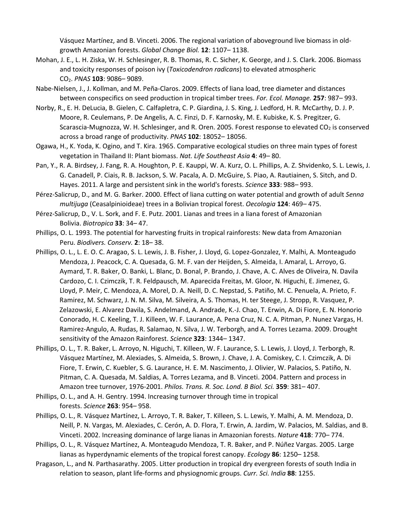Vásquez Martínez, and B. Vinceti. 2006. The regional variation of aboveground live biomass in oldgrowth Amazonian forests. *Global Change Biol.* **12**: 1107– 1138.

- Mohan, J. E., L. H. Ziska, W. H. Schlesinger, R. B. Thomas, R. C. Sicher, K. George, and J. S. Clark. 2006. Biomass and toxicity responses of poison ivy (*Toxicodendron radicans*) to elevated atmospheric CO2. *PNAS* **103**: 9086– 9089.
- Nabe-Nielsen, J., J. Kollman, and M. Peña-Claros. 2009. Effects of liana load, tree diameter and distances between conspecifics on seed production in tropical timber trees. *For. Ecol. Manage.* **257**: 987– 993.
- Norby, R., E. H. DeLucia, B. Gielen, C. Calfapletra, C. P. Giardina, J. S. King, J. Ledford, H. R. McCarthy, D. J. P. Moore, R. Ceulemans, P. De Angelis, A. C. Finzi, D. F. Karnosky, M. E. Kubiske, K. S. Pregitzer, G. Scarascia-Mugnozza, W. H. Schlesinger, and R. Oren. 2005. Forest response to elevated CO<sub>2</sub> is conserved across a broad range of productivity. *PNAS* **102**: 18052– 18056.
- Ogawa, H., K. Yoda, K. Ogino, and T. Kira. 1965. Comparative ecological studies on three main types of forest vegetation in Thailand II: Plant biomass. *Nat. Life Southeast Asia* **4**: 49– 80.
- Pan, Y., R. A. Birdsey, J. Fang, R. A. Houghton, P. E. Kauppi, W. A. Kurz, O. L. Phillips, A. Z. Shvidenko, S. L. Lewis, J. G. Canadell, P. Ciais, R. B. Jackson, S. W. Pacala, A. D. McGuire, S. Piao, A. Rautiainen, S. Sitch, and D. Hayes. 2011. A large and persistent sink in the world's forests. *Science* **333**: 988– 993.

Pérez-Salicrup, D., and M. G. Barker. 2000. Effect of liana cutting on water potential and growth of adult *Senna multijuga* (Ceasalpinioideae) trees in a Bolivian tropical forest. *Oecologia* **124**: 469– 475.

- Pérez-Salicrup, D., V. L. Sork, and F. E. Putz. 2001. Lianas and trees in a liana forest of Amazonian Bolivia. *Biotropica* **33**: 34– 47.
- Phillips, O. L. 1993. The potential for harvesting fruits in tropical rainforests: New data from Amazonian Peru. *Biodivers. Conserv.* **2**: 18– 38.
- Phillips, O. L., L. E. O. C. Aragao, S. L. Lewis, J. B. Fisher, J. Lloyd, G. Lopez-Gonzalez, Y. Malhi, A. Monteagudo Mendoza, J. Peacock, C. A. Quesada, G. M. F. van der Heijden, S. Almeida, I. Amaral, L. Arroyo, G. Aymard, T. R. Baker, O. Banki, L. Blanc, D. Bonal, P. Brando, J. Chave, A. C. Alves de Oliveira, N. Davila Cardozo, C. I. Czimczik, T. R. Feldpausch, M. Aparecida Freitas, M. Gloor, N. Higuchi, E. Jimenez, G. Lloyd, P. Meir, C. Mendoza, A. Morel, D. A. Neill, D. C. Nepstad, S. Patiño, M. C. Penuela, A. Prieto, F. Ramirez, M. Schwarz, J. N. M. Silva, M. Silveira, A. S. Thomas, H. ter Steege, J. Stropp, R. Vasquez, P. Zelazowski, E. Alvarez Davila, S. Andelmand, A. Andrade, K.-J. Chao, T. Erwin, A. Di Fiore, E. N. Honorio Conorado, H. C. Keeling, T. J. Killeen, W. F. Laurance, A. Pena Cruz, N. C. A. Pitman, P. Nunez Vargas, H. Ramirez-Angulo, A. Rudas, R. Salamao, N. Silva, J. W. Terborgh, and A. Torres Lezama. 2009. Drought sensitivity of the Amazon Rainforest. *Science* **323**: 1344– 1347.
- Phillips, O. L., T. R. Baker, L. Arroyo, N. Higuchi, T. Killeen, W. F. Laurance, S. L. Lewis, J. Lloyd, J. Terborgh, R. Vásquez Martínez, M. Alexiades, S. Almeida, S. Brown, J. Chave, J. A. Comiskey, C. I. Czimczik, A. Di Fiore, T. Erwin, C. Kuebler, S. G. Laurance, H. E. M. Nascimento, J. Olivier, W. Palacios, S. Patiño, N. Pitman, C. A. Quesada, M. Saldias, A. Torres Lezama, and B. Vinceti. 2004. Pattern and process in Amazon tree turnover, 1976-2001. *Philos. Trans. R. Soc. Lond. B Biol. Sci.* **359**: 381– 407.
- Phillips, O. L., and A. H. Gentry. 1994. Increasing turnover through time in tropical forests. *Science* **263**: 954– 958.
- Phillips, O. L., R. Vásquez Martínez, L. Arroyo, T. R. Baker, T. Killeen, S. L. Lewis, Y. Malhi, A. M. Mendoza, D. Neill, P. N. Vargas, M. Alexiades, C. Cerón, A. D. Flora, T. Erwin, A. Jardim, W. Palacios, M. Saldias, and B. Vinceti. 2002. Increasing dominance of large lianas in Amazonian forests. *Nature* **418**: 770– 774.
- Phillips, O. L., R. Vásquez Martínez, A. Monteagudo Mendoza, T. R. Baker, and P. Núñez Vargas. 2005. Large lianas as hyperdynamic elements of the tropical forest canopy. *Ecology* **86**: 1250– 1258.
- Pragason, L., and N. Parthasarathy. 2005. Litter production in tropical dry evergreen forests of south India in relation to season, plant life-forms and physiognomic groups. *Curr. Sci. India* **88**: 1255.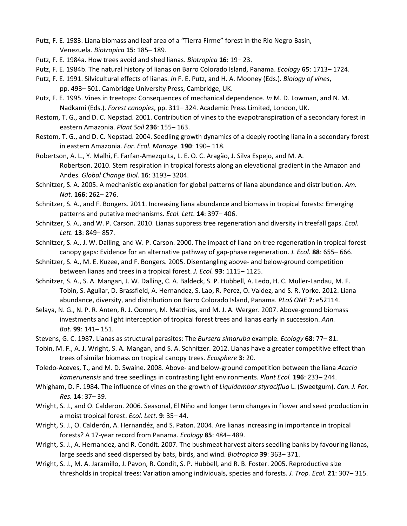- Putz, F. E. 1983. Liana biomass and leaf area of a "Tierra Firme" forest in the Rio Negro Basin, Venezuela. *Biotropica* **15**: 185– 189.
- Putz, F. E. 1984a. How trees avoid and shed lianas. *Biotropica* **16**: 19– 23.
- Putz, F. E. 1984b. The natural history of lianas on Barro Colorado Island, Panama. *Ecology* **65**: 1713– 1724.
- Putz, F. E. 1991. Silvicultural effects of lianas. *In* F. E. Putz, and H. A. Mooney (Eds.). *Biology of vines*, pp. 493– 501. Cambridge University Press, Cambridge, UK.
- Putz, F. E. 1995. Vines in treetops: Consequences of mechanical dependence. *In* M. D. Lowman, and N. M. Nadkami (Eds.). *Forest canopies*, pp. 311– 324. Academic Press Limited, London, UK.
- Restom, T. G., and D. C. Nepstad. 2001. Contribution of vines to the evapotranspiration of a secondary forest in eastern Amazonia. *Plant Soil* **236**: 155– 163.
- Restom, T. G., and D. C. Nepstad. 2004. Seedling growth dynamics of a deeply rooting liana in a secondary forest in eastern Amazonia. *For. Ecol. Manage.* **190**: 190– 118.
- Robertson, A. L., Y. Malhi, F. Farfan-Amezquita, L. E. O. C. Aragão, J. Silva Espejo, and M. A. Robertson. 2010. Stem respiration in tropical forests along an elevational gradient in the Amazon and Andes. *Global Change Biol.* **16**: 3193– 3204.
- Schnitzer, S. A. 2005. A mechanistic explanation for global patterns of liana abundance and distribution. *Am. Nat.* **166**: 262– 276.
- Schnitzer, S. A., and F. Bongers. 2011. Increasing liana abundance and biomass in tropical forests: Emerging patterns and putative mechanisms. *Ecol. Lett.* **14**: 397– 406.
- Schnitzer, S. A., and W. P. Carson. 2010. Lianas suppress tree regeneration and diversity in treefall gaps. *Ecol. Lett.* **13**: 849– 857.
- Schnitzer, S. A., J. W. Dalling, and W. P. Carson. 2000. The impact of liana on tree regeneration in tropical forest canopy gaps: Evidence for an alternative pathway of gap-phase regeneration. *J. Ecol.* **88**: 655– 666.
- Schnitzer, S. A., M. E. Kuzee, and F. Bongers. 2005. Disentangling above- and below-ground competition between lianas and trees in a tropical forest. *J. Ecol.* **93**: 1115– 1125.
- Schnitzer, S. A., S. A. Mangan, J. W. Dalling, C. A. Baldeck, S. P. Hubbell, A. Ledo, H. C. Muller-Landau, M. F. Tobin, S. Aguilar, D. Brassfield, A. Hernandez, S. Lao, R. Perez, O. Valdez, and S. R. Yorke. 2012. Liana abundance, diversity, and distribution on Barro Colorado Island, Panama. *PLoS ONE* **7**: e52114.
- Selaya, N. G., N. P. R. Anten, R. J. Oomen, M. Matthies, and M. J. A. Werger. 2007. Above-ground biomass investments and light interception of tropical forest trees and lianas early in succession. *Ann. Bot.* **99**: 141– 151.
- Stevens, G. C. 1987. Lianas as structural parasites: The *Bursera simaruba* example. *Ecology* **68**: 77– 81.
- Tobin, M. F., A. J. Wright, S. A. Mangan, and S. A. Schnitzer. 2012. Lianas have a greater competitive effect than trees of similar biomass on tropical canopy trees. *Ecosphere* **3**: 20.
- Toledo-Aceves, T., and M. D. Swaine. 2008. Above- and below-ground competition between the liana *Acacia kamerunensis* and tree seedlings in contrasting light environments. *Plant Ecol.* **196**: 233– 244.
- Whigham, D. F. 1984. The influence of vines on the growth of *Liquidambar styraciflua* L. (Sweetgum). *Can. J. For. Res.* **14**: 37– 39.
- Wright, S. J., and O. Calderon. 2006. Seasonal, El Niño and longer term changes in flower and seed production in a moist tropical forest. *Ecol. Lett.* **9**: 35– 44.
- Wright, S. J., O. Calderón, A. Hernandéz, and S. Paton. 2004. Are lianas increasing in importance in tropical forests? A 17-year record from Panama. *Ecology* **85**: 484– 489.
- Wright, S. J., A. Hernandez, and R. Condit. 2007. The bushmeat harvest alters seedling banks by favouring lianas, large seeds and seed dispersed by bats, birds, and wind. *Biotropica* **39**: 363– 371.
- Wright, S. J., M. A. Jaramillo, J. Pavon, R. Condit, S. P. Hubbell, and R. B. Foster. 2005. Reproductive size thresholds in tropical trees: Variation among individuals, species and forests. *J. Trop. Ecol.* **21**: 307– 315.